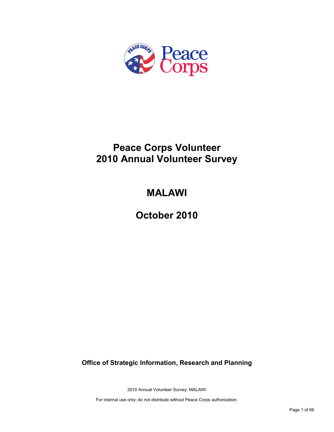

# **Peace Corps Volunteer 2010 Annual Volunteer Survey**

# **MALAWI**

**October 2010**

**Office of Strategic Information, Research and Planning**

2010 Annual Volunteer Survey: MALAWI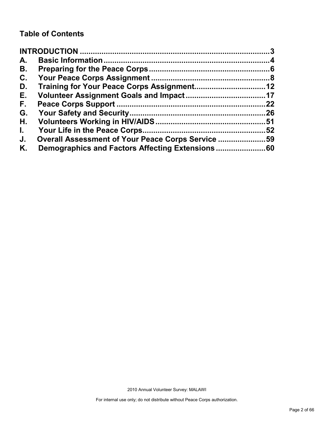### **Table of Contents**

| A.           |                                                   |     |
|--------------|---------------------------------------------------|-----|
| В.           |                                                   |     |
| C.           |                                                   |     |
| D.           |                                                   |     |
| Е.           |                                                   |     |
| F.,          |                                                   | 22  |
| G.           |                                                   | .26 |
| Н.           |                                                   |     |
| $\mathbf{L}$ |                                                   | 52  |
| J.           | Overall Assessment of Your Peace Corps Service 59 |     |
| Κ.           |                                                   |     |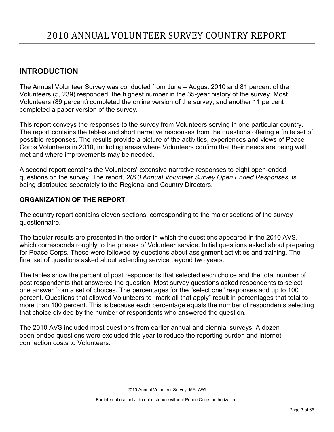### <span id="page-2-0"></span>**INTRODUCTION**

The Annual Volunteer Survey was conducted from June – August 2010 and 81 percent of the Volunteers (5, 239) responded, the highest number in the 35-year history of the survey. Most Volunteers (89 percent) completed the online version of the survey, and another 11 percent completed a paper version of the survey.

This report conveys the responses to the survey from Volunteers serving in one particular country. The report contains the tables and short narrative responses from the questions offering a finite set of possible responses. The results provide a picture of the activities, experiences and views of Peace Corps Volunteers in 2010, including areas where Volunteers confirm that their needs are being well met and where improvements may be needed.

A second report contains the Volunteers' extensive narrative responses to eight open-ended questions on the survey. The report, *2010 Annual Volunteer Survey Open Ended Responses,* is being distributed separately to the Regional and Country Directors.

### **ORGANIZATION OF THE REPORT**

The country report contains eleven sections, corresponding to the major sections of the survey questionnaire.

The tabular results are presented in the order in which the questions appeared in the 2010 AVS, which corresponds roughly to the phases of Volunteer service. Initial questions asked about preparing for Peace Corps. These were followed by questions about assignment activities and training. The final set of questions asked about extending service beyond two years.

The tables show the percent of post respondents that selected each choice and the total number of post respondents that answered the question. Most survey questions asked respondents to select one answer from a set of choices. The percentages for the "select one" responses add up to 100 percent. Questions that allowed Volunteers to "mark all that apply" result in percentages that total to more than 100 percent. This is because each percentage equals the number of respondents selecting that choice divided by the number of respondents who answered the question.

The 2010 AVS included most questions from earlier annual and biennial surveys. A dozen open-ended questions were excluded this year to reduce the reporting burden and internet connection costs to Volunteers.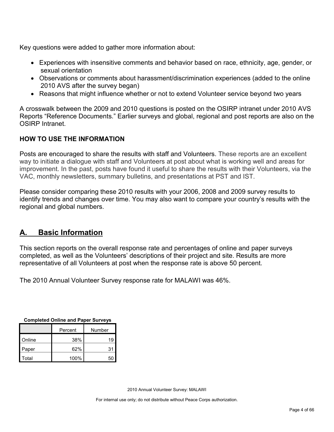Key questions were added to gather more information about:

- Experiences with insensitive comments and behavior based on race, ethnicity, age, gender, or sexual orientation
- Observations or comments about harassment/discrimination experiences (added to the online 2010 AVS after the survey began)
- Reasons that might influence whether or not to extend Volunteer service beyond two years

A crosswalk between the 2009 and 2010 questions is posted on the OSIRP intranet under 2010 AVS Reports "Reference Documents." Earlier surveys and global, regional and post reports are also on the OSIRP Intranet.

### **HOW TO USE THE INFORMATION**

Posts are encouraged to share the results with staff and Volunteers. These reports are an excellent way to initiate a dialogue with staff and Volunteers at post about what is working well and areas for improvement. In the past, posts have found it useful to share the results with their Volunteers, via the VAC, monthly newsletters, summary bulletins, and presentations at PST and IST.

Please consider comparing these 2010 results with your 2006, 2008 and 2009 survey results to identify trends and changes over time. You may also want to compare your country's results with the regional and global numbers.

### <span id="page-3-0"></span>**A. Basic Information**

This section reports on the overall response rate and percentages of online and paper surveys completed, as well as the Volunteers' descriptions of their project and site. Results are more representative of all Volunteers at post when the response rate is above 50 percent.

The 2010 Annual Volunteer Survey response rate for MALAWI was 46%.

| Percent |     | Number |  |
|---------|-----|--------|--|
| Online  | 38% |        |  |

Paper **62%** 31 Total 100% 50

**Completed Online and Paper Surveys**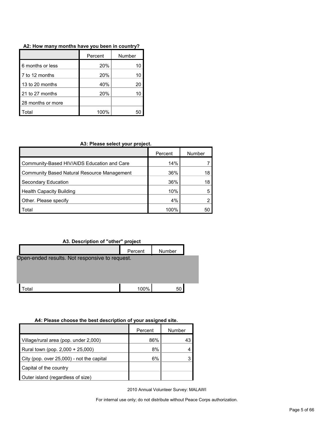| A2: How many months have you been in country? |  |
|-----------------------------------------------|--|
|-----------------------------------------------|--|

|                   | Percent | Number |
|-------------------|---------|--------|
| 6 months or less  | 20%     | 10     |
| l 7 to 12 months  | 20%     | 10     |
| 13 to 20 months   | 40%     | 20     |
| 21 to 27 months   | 20%     | 10     |
| 28 months or more |         |        |
| `otal             | 100%    |        |

#### **A3: Please select your project.**

|                                             | Percent | Number |
|---------------------------------------------|---------|--------|
| Community-Based HIV/AIDS Education and Care | 14%     |        |
| Community Based Natural Resource Management | 36%     | 18     |
| Secondary Education                         | 36%     | 18     |
| <b>Health Capacity Building</b>             | 10%     | 5      |
| Other. Please specify                       | 4%      |        |
| Total                                       | 100%    | 50     |

#### **A3. Description of "other" project**

|                                                | Percent | Number |
|------------------------------------------------|---------|--------|
| Open-ended results. Not responsive to request. |         |        |
|                                                |         |        |
|                                                |         |        |
| ʻotal                                          | 100%    | 50     |

#### **A4: Please choose the best description of your assigned site.**

| Percent                                   |     | Number |  |
|-------------------------------------------|-----|--------|--|
| Village/rural area (pop. under 2,000)     | 86% | 43     |  |
| Rural town (pop. 2,000 + 25,000)          | 8%  |        |  |
| City (pop. over 25,000) - not the capital | 6%  |        |  |
| Capital of the country                    |     |        |  |
| Outer island (regardless of size)         |     |        |  |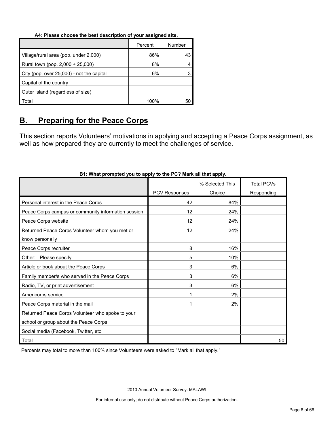#### **A4: Please choose the best description of your assigned site.**

|                                           | Percent | Number |
|-------------------------------------------|---------|--------|
| Village/rural area (pop. under 2,000)     | 86%     | 43     |
| Rural town (pop. 2,000 + 25,000)          | 8%      |        |
| City (pop. over 25,000) - not the capital | 6%      |        |
| Capital of the country                    |         |        |
| Outer island (regardless of size)         |         |        |
| Total                                     | 100%    | 50     |

### <span id="page-5-0"></span>**B. Preparing for the Peace Corps**

This section reports Volunteers' motivations in applying and accepting a Peace Corps assignment, as well as how prepared they are currently to meet the challenges of service.

|                                                     |               | % Selected This | <b>Total PCVs</b> |
|-----------------------------------------------------|---------------|-----------------|-------------------|
|                                                     | PCV Responses | Choice          | Responding        |
| Personal interest in the Peace Corps                | 42            | 84%             |                   |
| Peace Corps campus or community information session | 12            | 24%             |                   |
| Peace Corps website                                 | 12            | 24%             |                   |
| Returned Peace Corps Volunteer whom you met or      | 12            | 24%             |                   |
| know personally                                     |               |                 |                   |
| Peace Corps recruiter                               | 8             | 16%             |                   |
| Other: Please specify                               | 5             | 10%             |                   |
| Article or book about the Peace Corps               | 3             | 6%              |                   |
| Family member/s who served in the Peace Corps       | 3             | 6%              |                   |
| Radio, TV, or print advertisement                   | 3             | 6%              |                   |
| Americorps service                                  |               | 2%              |                   |
| Peace Corps material in the mail                    |               | 2%              |                   |
| Returned Peace Corps Volunteer who spoke to your    |               |                 |                   |
| school or group about the Peace Corps               |               |                 |                   |
| Social media (Facebook, Twitter, etc.               |               |                 |                   |
| Total                                               |               |                 | 50                |

#### **B1: What prompted you to apply to the PC? Mark all that apply.**

Percents may total to more than 100% since Volunteers were asked to "Mark all that apply."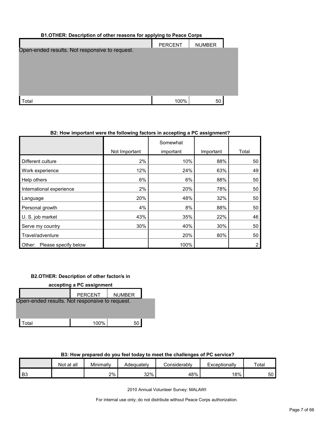| B1.OTHER: Description of other reasons for applying to Peace Corps |                |               |  |  |
|--------------------------------------------------------------------|----------------|---------------|--|--|
| Open-ended results. Not responsive to request.                     | <b>PERCENT</b> | <b>NUMBER</b> |  |  |
| Total                                                              | 100%           | 50            |  |  |

#### **B2: How important were the following factors in accepting a PC assignment?**

|                                |               | Somewhat  |           |       |
|--------------------------------|---------------|-----------|-----------|-------|
|                                | Not Important | important | Important | Total |
| Different culture              | 2%            | 10%       | 88%       | 50    |
| Work experience                | 12%           | 24%       | 63%       | 49    |
| Help others                    | 6%            | 6%        | 88%       | 50    |
| International experience       | 2%            | 20%       | 78%       | 50    |
| Language                       | 20%           | 48%       | 32%       | 50    |
| Personal growth                | 4%            | 8%        | 88%       | 50    |
| U. S. job market               | 43%           | 35%       | 22%       | 46    |
| Serve my country               | 30%           | 40%       | 30%       | 50    |
| Travel/adventure               |               | 20%       | 80%       | 50    |
| Please specify below<br>Other: |               | 100%      |           | 2     |

#### **B2.OTHER: Description of other factor/s in**

| accepting a PC assignment                      |                |               |  |  |  |
|------------------------------------------------|----------------|---------------|--|--|--|
|                                                | <b>PERCENT</b> | <b>NUMBER</b> |  |  |  |
| Open-ended results. Not responsive to request. |                |               |  |  |  |
|                                                |                |               |  |  |  |
|                                                |                |               |  |  |  |
| `otal                                          | 100%           | 50            |  |  |  |

#### **B3: How prepared do you feel today to meet the challenges of PC service?**

|      | Not at all | Minimally | Adequately | Considerably | Exceptionally | Total |
|------|------------|-----------|------------|--------------|---------------|-------|
| l B3 |            | 2%        | 32%        | 48%          | 18%           | 50    |

2010 Annual Volunteer Survey: MALAWI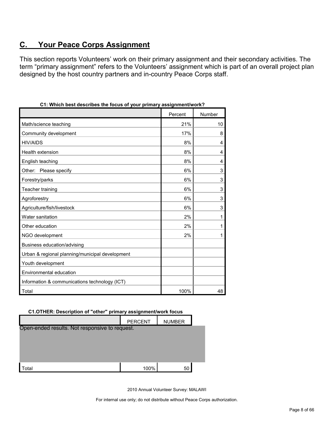### <span id="page-7-0"></span>**C. Your Peace Corps Assignment**

This section reports Volunteers' work on their primary assignment and their secondary activities. The term "primary assignment" refers to the Volunteers' assignment which is part of an overall project plan designed by the host country partners and in-country Peace Corps staff.

| , which best describes the locus of your primary assignment work : |         |        |
|--------------------------------------------------------------------|---------|--------|
|                                                                    | Percent | Number |
| Math/science teaching                                              | 21%     | 10     |
| Community development                                              | 17%     | 8      |
| <b>HIV/AIDS</b>                                                    | 8%      | 4      |
| Health extension                                                   | 8%      | 4      |
| English teaching                                                   | 8%      | 4      |
| Other: Please specify                                              | 6%      | 3      |
| Forestry/parks                                                     | 6%      | 3      |
| Teacher training                                                   | 6%      | 3      |
| Agroforestry                                                       | 6%      | 3      |
| Agriculture/fish/livestock                                         | 6%      | 3      |
| Water sanitation                                                   | 2%      | 1      |
| Other education                                                    | 2%      | 1      |
| NGO development                                                    | 2%      |        |
| Business education/advising                                        |         |        |
| Urban & regional planning/municipal development                    |         |        |
| Youth development                                                  |         |        |
| Environmental education                                            |         |        |
| Information & communications technology (ICT)                      |         |        |
| Total                                                              | 100%    | 48     |

|  |  |  | C1: Which best describes the focus of your primary assignment/work? |  |  |  |  |  |
|--|--|--|---------------------------------------------------------------------|--|--|--|--|--|
|--|--|--|---------------------------------------------------------------------|--|--|--|--|--|

#### **C1.OTHER: Description of "other" primary assignment/work focus**

|                                                | <b>PERCENT</b> | <b>NUMBER</b> |
|------------------------------------------------|----------------|---------------|
| Open-ended results. Not responsive to request. |                |               |
|                                                |                |               |
|                                                |                |               |
|                                                |                |               |
| Total                                          | 100%           | 50            |

2010 Annual Volunteer Survey: MALAWI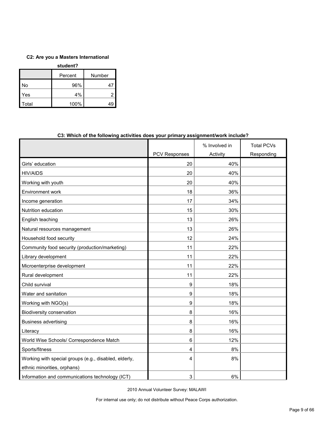#### **C2: Are you a Masters International**

| student? |         |        |  |  |  |
|----------|---------|--------|--|--|--|
|          | Percent | Number |  |  |  |
| No       | 96%     |        |  |  |  |
| Yes      | 4%      | 2      |  |  |  |
| Total    | 100%    |        |  |  |  |

#### **C3: Which of the following activities does your primary assignment/work include?**

|                                                       |                      | % Involved in | <b>Total PCVs</b> |
|-------------------------------------------------------|----------------------|---------------|-------------------|
|                                                       | <b>PCV Responses</b> | Activity      | Responding        |
| Girls' education                                      | 20                   | 40%           |                   |
| <b>HIV/AIDS</b>                                       | 20                   | 40%           |                   |
| Working with youth                                    | 20                   | 40%           |                   |
| Environment work                                      | 18                   | 36%           |                   |
| Income generation                                     | 17                   | 34%           |                   |
| Nutrition education                                   | 15                   | 30%           |                   |
| English teaching                                      | 13                   | 26%           |                   |
| Natural resources management                          | 13                   | 26%           |                   |
| Household food security                               | 12                   | 24%           |                   |
| Community food security (production/marketing)        | 11                   | 22%           |                   |
| Library development                                   | 11                   | 22%           |                   |
| Microenterprise development                           | 11                   | 22%           |                   |
| Rural development                                     | 11                   | 22%           |                   |
| Child survival                                        | 9                    | 18%           |                   |
| Water and sanitation                                  | 9                    | 18%           |                   |
| Working with NGO(s)                                   | 9                    | 18%           |                   |
| Biodiversity conservation                             | 8                    | 16%           |                   |
| <b>Business advertising</b>                           | 8                    | 16%           |                   |
| Literacy                                              | 8                    | 16%           |                   |
| World Wise Schools/ Correspondence Match              | 6                    | 12%           |                   |
| Sports/fitness                                        | 4                    | 8%            |                   |
| Working with special groups (e.g., disabled, elderly, | 4                    | 8%            |                   |
| ethnic minorities, orphans)                           |                      |               |                   |
| Information and communications technology (ICT)       | 3                    | 6%            |                   |

2010 Annual Volunteer Survey: MALAWI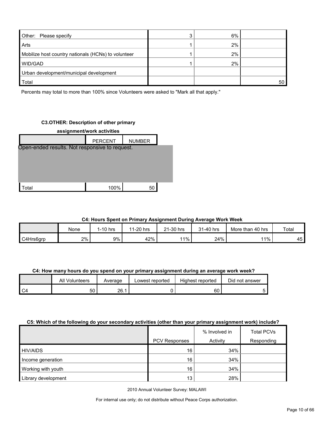| Other: Please specify                               | 6% |    |
|-----------------------------------------------------|----|----|
| Arts                                                | 2% |    |
| Mobilize host country nationals (HCNs) to volunteer | 2% |    |
| WID/GAD                                             | 2% |    |
| Urban development/municipal development             |    |    |
| <b>Total</b>                                        |    | 50 |

Percents may total to more than 100% since Volunteers were asked to "Mark all that apply."

#### **C3.OTHER: Description of other primary**



#### **C4: Hours Spent on Primary Assignment During Average Work Week**

|           | None | 1-10 hrs | 11-20 hrs | 21-30 hrs | 31-40 hrs | More than 40 hrs | Total                          |
|-----------|------|----------|-----------|-----------|-----------|------------------|--------------------------------|
| C4Hrs6grp | 2%   | 9%       | 42%       | 11%       | 24%       | 11%              | $\overline{\phantom{0}}$<br>45 |

#### **C4: How many hours do you spend on your primary assignment during an average work week?**

|      | All<br>Volunteers | Average | Lowest reported | Highest reported | Did not answer |
|------|-------------------|---------|-----------------|------------------|----------------|
| I C4 | 50                | 26.     |                 | 60               |                |

#### **C5: Which of the following do your secondary activities (other than your primary assignment work) include?**

|                     |                      | % Involved in | <b>Total PCVs</b> |
|---------------------|----------------------|---------------|-------------------|
|                     | <b>PCV Responses</b> | Activity      | Responding        |
| <b>HIV/AIDS</b>     | 16                   | 34%           |                   |
| Income generation   | 16                   | 34%           |                   |
| Working with youth  | 16                   | 34%           |                   |
| Library development | 13 <sub>1</sub>      | 28%           |                   |

2010 Annual Volunteer Survey: MALAWI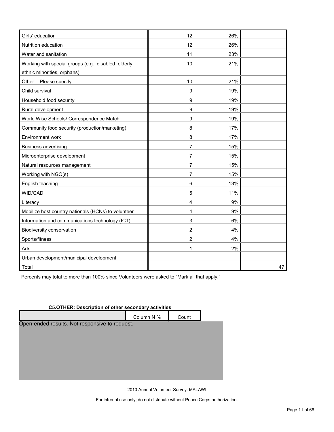| Girls' education                                      | 12             | 26% |    |
|-------------------------------------------------------|----------------|-----|----|
| Nutrition education                                   | 12             | 26% |    |
| Water and sanitation                                  | 11             | 23% |    |
| Working with special groups (e.g., disabled, elderly, | 10             | 21% |    |
| ethnic minorities, orphans)                           |                |     |    |
| Other: Please specify                                 | 10             | 21% |    |
| Child survival                                        | 9              | 19% |    |
| Household food security                               | 9              | 19% |    |
| Rural development                                     | 9              | 19% |    |
| World Wise Schools/ Correspondence Match              | 9              | 19% |    |
| Community food security (production/marketing)        | 8              | 17% |    |
| Environment work                                      | 8              | 17% |    |
| <b>Business advertising</b>                           | 7              | 15% |    |
| Microenterprise development                           | 7              | 15% |    |
| Natural resources management                          | 7              | 15% |    |
| Working with NGO(s)                                   | 7              | 15% |    |
| English teaching                                      | 6              | 13% |    |
| WID/GAD                                               | 5              | 11% |    |
| Literacy                                              | 4              | 9%  |    |
| Mobilize host country nationals (HCNs) to volunteer   | 4              | 9%  |    |
| Information and communications technology (ICT)       | 3              | 6%  |    |
| Biodiversity conservation                             | $\overline{2}$ | 4%  |    |
| Sports/fitness                                        | $\overline{2}$ | 4%  |    |
| Arts                                                  | 1              | 2%  |    |
| Urban development/municipal development               |                |     |    |
| Total                                                 |                |     | 47 |

Percents may total to more than 100% since Volunteers were asked to "Mark all that apply."

#### **C5.OTHER: Description of other secondary activities**

|                                                | Column N % | Count |  |
|------------------------------------------------|------------|-------|--|
| Open-ended results. Not responsive to request. |            |       |  |
|                                                |            |       |  |
|                                                |            |       |  |
|                                                |            |       |  |
|                                                |            |       |  |
|                                                |            |       |  |
|                                                |            |       |  |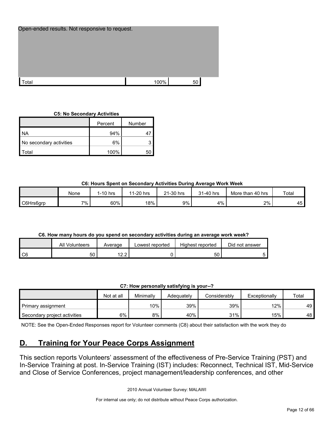| Open-ended results. Not responsive to request. |  |      |    |  |  |  |  |  |  |
|------------------------------------------------|--|------|----|--|--|--|--|--|--|
|                                                |  |      |    |  |  |  |  |  |  |
|                                                |  |      |    |  |  |  |  |  |  |
|                                                |  |      |    |  |  |  |  |  |  |
|                                                |  |      |    |  |  |  |  |  |  |
| otal <sup>.</sup>                              |  | 100% | 50 |  |  |  |  |  |  |

#### **C5: No Secondary Activities**

|                         | Number<br>Percent |  |  |
|-------------------------|-------------------|--|--|
| NA.                     | 94%               |  |  |
| No secondary activities | 6%                |  |  |
| ʻotal                   | 100%              |  |  |

**C6: Hours Spent on Secondary Activities During Average Work Week**

|           | None | 1-10 hrs | 1-20 hrs<br>44 | 21-30 hrs | 31-40 hrs | 40 hrs<br>More than | Total                    |
|-----------|------|----------|----------------|-----------|-----------|---------------------|--------------------------|
| C6Hrs6grp | 7%.  | 60%      | 18%            | 9%        | 4%        | 2%                  | $\epsilon$<br>45 L<br>⊤∪ |

#### **C6. How many hours do you spend on secondary activities during an average work week?**

|         | <b>All Volunteers</b> | Average                     | Lowest reported | Highest reported | Did not answer |
|---------|-----------------------|-----------------------------|-----------------|------------------|----------------|
| C<br>υu | <u>-^</u><br>່ວບ      | 10 <sub>0</sub><br><u>.</u> |                 | 50               |                |

#### **C7: How personally satisfying is your--?**

|                              | Not at all | Minimally | Adeauatelv | Considerably | Exceptionally | Total |
|------------------------------|------------|-----------|------------|--------------|---------------|-------|
| Primary assignment           |            | $10\%$ .  | 39%        | 39%          | 12%           | 49 I  |
| Secondary project activities | 6%         | 8%        | 40%        | 31%          | 15%           | 48    |

NOTE: See the Open-Ended Responses report for Volunteer comments (C8) about their satisfaction with the work they do

### <span id="page-11-0"></span>**D. Training for Your Peace Corps Assignment**

This section reports Volunteers' assessment of the effectiveness of Pre-Service Training (PST) and In-Service Training at post. In-Service Training (IST) includes: Reconnect, Technical IST, Mid-Service and Close of Service Conferences, project management/leadership conferences, and other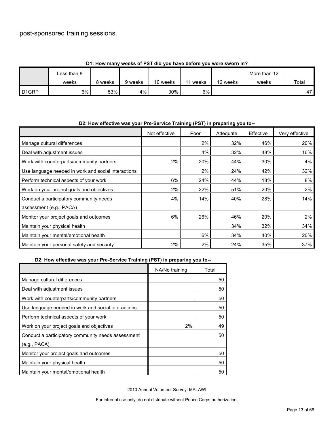### post-sponsored training sessions.

|                   | <b>1. HOW HIGHT WEEKS OF FST GIG YOU HAVE DEIDLE YOU WELE SWOLLEN!!!</b> |       |         |          |       |          |              |       |  |  |  |  |
|-------------------|--------------------------------------------------------------------------|-------|---------|----------|-------|----------|--------------|-------|--|--|--|--|
|                   | Less than 8                                                              |       |         |          |       |          | More than 12 |       |  |  |  |  |
|                   | weeks                                                                    | weeks | 9 weeks | 10 weeks | weeks | 12 weeks | weeks        | Total |  |  |  |  |
| D <sub>1GRP</sub> | $6\%$                                                                    | 53%   | 4%      | 30%      | 6%    |          |              | 47    |  |  |  |  |

#### **D1: How many weeks of PST did you have before you were sworn in?**

#### **D2: How effective was your Pre-Service Training (PST) in preparing you to--**

|                                                     | Not effective | Poor | Adequate | Effective | Very effective |
|-----------------------------------------------------|---------------|------|----------|-----------|----------------|
| Manage cultural differences                         |               | 2%   | 32%      | 46%       | 20%            |
| Deal with adjustment issues                         |               | 4%   | 32%      | 48%       | 16%            |
| Work with counterparts/community partners           | 2%            | 20%  | 44%      | 30%       | 4%             |
| Use language needed in work and social interactions |               | 2%   | 24%      | 42%       | 32%            |
| Perform technical aspects of your work              | 6%            | 24%  | 44%      | 18%       | 8%             |
| Work on your project goals and objectives           | 2%            | 22%  | 51%      | 20%       | 2%             |
| Conduct a participatory community needs             | 4%            | 14%  | 40%      | 28%       | 14%            |
| assessment (e.g., PACA)                             |               |      |          |           |                |
| Monitor your project goals and outcomes             | 6%            | 26%  | 46%      | 20%       | 2%             |
| Maintain your physical health                       |               |      | 34%      | 32%       | 34%            |
| Maintain your mental/emotional health               |               | 6%   | 34%      | 40%       | 20%            |
| Maintain your personal safety and security          | 2%            | 2%   | 24%      | 35%       | 37%            |

#### **D2: How effective was your Pre-Service Training (PST) in preparing you to--**

|                                                     | NA/No training | Total |
|-----------------------------------------------------|----------------|-------|
| Manage cultural differences                         |                | 50    |
| Deal with adjustment issues                         |                | 50    |
| Work with counterparts/community partners           |                | 50    |
| Use language needed in work and social interactions |                | 50    |
| Perform technical aspects of your work              |                | 50    |
| Work on your project goals and objectives           | 2%             | 49    |
| Conduct a participatory community needs assessment  |                | 50    |
| (e.g., PACA)                                        |                |       |
| Monitor your project goals and outcomes             |                | 50    |
| Maintain your physical health                       |                | 50    |
| Maintain your mental/emotional health               |                | 50    |

2010 Annual Volunteer Survey: MALAWI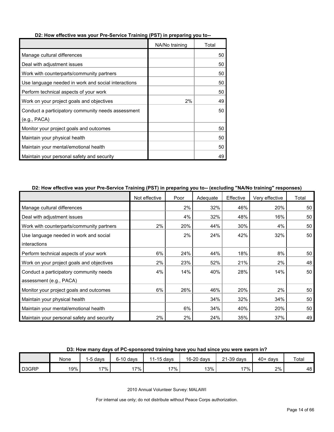|                                                     | NA/No training | Total |
|-----------------------------------------------------|----------------|-------|
| Manage cultural differences                         |                | 50    |
| Deal with adjustment issues                         |                | 50    |
| Work with counterparts/community partners           |                | 50    |
| Use language needed in work and social interactions |                | 50    |
| Perform technical aspects of your work              |                | 50    |
| Work on your project goals and objectives           | 2%             | 49    |
| Conduct a participatory community needs assessment  |                | 50    |
| (e.g., PACA)                                        |                |       |
| Monitor your project goals and outcomes             |                | 50    |
| Maintain your physical health                       |                | 50    |
| Maintain your mental/emotional health               |                | 50    |
| Maintain your personal safety and security          |                | 49    |

#### **D2: How effective was your Pre-Service Training (PST) in preparing you to--**

#### **D2: How effective was your Pre-Service Training (PST) in preparing you to-- (excluding "NA/No training" responses)**

|                                            | Not effective | Poor | Adequate | Effective | Very effective | Total |
|--------------------------------------------|---------------|------|----------|-----------|----------------|-------|
| Manage cultural differences                |               | 2%   | 32%      | 46%       | 20%            | 50    |
| Deal with adjustment issues                |               | 4%   | 32%      | 48%       | 16%            | 50    |
| Work with counterparts/community partners  | 2%            | 20%  | 44%      | 30%       | 4%             | 50    |
| Use language needed in work and social     |               | 2%   | 24%      | 42%       | 32%            | 50    |
| interactions                               |               |      |          |           |                |       |
| Perform technical aspects of your work     | 6%            | 24%  | 44%      | 18%       | 8%             | 50    |
| Work on your project goals and objectives  | $2\%$         | 23%  | 52%      | 21%       | 2%             | 48    |
| Conduct a participatory community needs    | 4%            | 14%  | 40%      | 28%       | 14%            | 50    |
| assessment (e.g., PACA)                    |               |      |          |           |                |       |
| Monitor your project goals and outcomes    | 6%            | 26%  | 46%      | 20%       | 2%             | 50    |
| Maintain your physical health              |               |      | 34%      | 32%       | 34%            | 50    |
| Maintain your mental/emotional health      |               | 6%   | 34%      | 40%       | 20%            | 50    |
| Maintain your personal safety and security | 2%            | 2%   | 24%      | 35%       | 37%            | 49    |

#### **D3: How many days of PC-sponsored training have you had since you were sworn in?**

|       | None | -5 davs | $6-10$ days | 1-15 davs<br>14 | 16-20 days | 21-39 days | 40+<br>∙davs | Total |
|-------|------|---------|-------------|-----------------|------------|------------|--------------|-------|
| D3GRP | 19%  | $7\%$ 1 | $.7\%$ .    | 17%             | 13%        | $.7\%$     | 2%           | 48 I  |

2010 Annual Volunteer Survey: MALAWI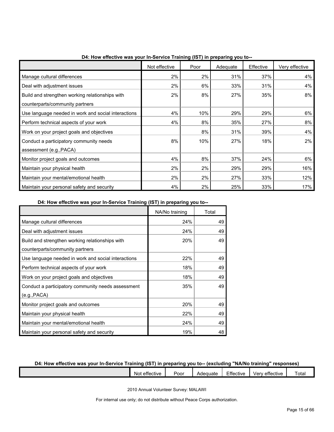|                                                     | Not effective | Poor | Adequate | Effective | Very effective |
|-----------------------------------------------------|---------------|------|----------|-----------|----------------|
| Manage cultural differences                         | 2%            | 2%   | 31%      | 37%       | 4%             |
| Deal with adjustment issues                         | 2%            | 6%   | 33%      | 31%       | 4%             |
| Build and strengthen working relationships with     | 2%            | 8%   | 27%      | 35%       | 8%             |
| counterparts/community partners                     |               |      |          |           |                |
| Use language needed in work and social interactions | 4%            | 10%  | 29%      | 29%       | 6%             |
| Perform technical aspects of your work              | 4%            | 8%   | 35%      | 27%       | 8%             |
| Work on your project goals and objectives           |               | 8%   | 31%      | 39%       | 4%             |
| Conduct a participatory community needs             | 8%            | 10%  | 27%      | 18%       | 2%             |
| assessment (e.g., PACA)                             |               |      |          |           |                |
| Monitor project goals and outcomes                  | 4%            | 8%   | 37%      | 24%       | 6%             |
| Maintain your physical health                       | 2%            | 2%   | 29%      | 29%       | 16%            |
| Maintain your mental/emotional health               | 2%            | 2%   | 27%      | 33%       | 12%            |
| Maintain your personal safety and security          | 4%            | 2%   | 25%      | 33%       | 17%            |

**D4: How effective was your In-Service Training (IST) in preparing you to--**

**D4: How effective was your In-Service Training (IST) in preparing you to--**

|                                                     | NA/No training | Total |
|-----------------------------------------------------|----------------|-------|
| Manage cultural differences                         | 24%            | 49    |
| Deal with adjustment issues                         | 24%            | 49    |
| Build and strengthen working relationships with     | 20%            | 49    |
| counterparts/community partners                     |                |       |
| Use language needed in work and social interactions | 22%            | 49    |
| Perform technical aspects of your work              | 18%            | 49    |
| Work on your project goals and objectives           | 18%            | 49    |
| Conduct a participatory community needs assessment  | 35%            | 49    |
| (e.g., PACA)                                        |                |       |
| Monitor project goals and outcomes                  | 20%            | 49    |
| Maintain your physical health                       | 22%            | 49    |
| Maintain your mental/emotional health               | 24%            | 49    |
| Maintain your personal safety and security          | 19%            | 48    |

#### **D4: How effective was your In-Service Training (IST) in preparing you to-- (excluding "NA/No training" responses)**

| . .<br>effective<br>Not | oor | <sup>1</sup> equate<br>чае | $ \epsilon$<br>Effective | --<br>ettective:<br>verv | otal |
|-------------------------|-----|----------------------------|--------------------------|--------------------------|------|
|                         |     |                            |                          |                          |      |
|                         |     |                            |                          |                          |      |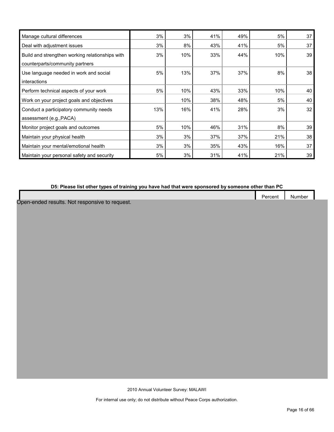| Manage cultural differences                     | 3%  | 3%  | 41% | 49% | 5%  | 37 |
|-------------------------------------------------|-----|-----|-----|-----|-----|----|
| Deal with adjustment issues                     | 3%  | 8%  | 43% | 41% | 5%  | 37 |
| Build and strengthen working relationships with | 3%  | 10% | 33% | 44% | 10% | 39 |
| counterparts/community partners                 |     |     |     |     |     |    |
| Use language needed in work and social          | 5%  | 13% | 37% | 37% | 8%  | 38 |
| interactions                                    |     |     |     |     |     |    |
| Perform technical aspects of your work          | 5%  | 10% | 43% | 33% | 10% | 40 |
| Work on your project goals and objectives       |     | 10% | 38% | 48% | 5%  | 40 |
| Conduct a participatory community needs         | 13% | 16% | 41% | 28% | 3%  | 32 |
| assessment (e.g., PACA)                         |     |     |     |     |     |    |
| Monitor project goals and outcomes              | 5%  | 10% | 46% | 31% | 8%  | 39 |
| Maintain your physical health                   | 3%  | 3%  | 37% | 37% | 21% | 38 |
| Maintain your mental/emotional health           | 3%  | 3%  | 35% | 43% | 16% | 37 |
| Maintain your personal safety and security      | 5%  | 3%  | 31% | 41% | 21% | 39 |

#### **D5: Please list other types of training you have had that were sponsored by someone other than PC**

|  | Percent<br>____ | Number |  |
|--|-----------------|--------|--|
|--|-----------------|--------|--|

Open-ended results. Not responsive to request.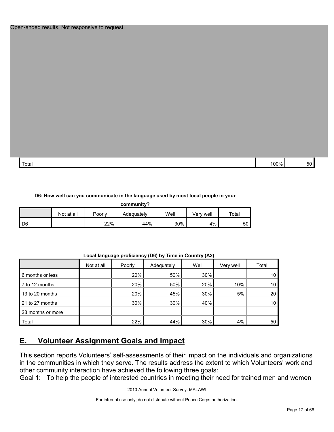| <b>Total</b> | $00\%$ | ৴ |
|--------------|--------|---|
|              |        |   |

#### **D6: How well can you communicate in the language used by most local people in your**

**community?**

|      | Not at all | Poorly | Adeauatelv | Well | Verv well | Total |
|------|------------|--------|------------|------|-----------|-------|
| I D6 |            | 22%    | 44%        | 30%  | 4%        | 50    |

| Local language proficiency (D6) by Time in Country (A2) |
|---------------------------------------------------------|
|                                                         |
|                                                         |

|                   | Not at all | Poorly | Adequately | Well | Very well |                 |
|-------------------|------------|--------|------------|------|-----------|-----------------|
| 6 months or less  |            | 20%    | 50%        | 30%  |           | 10              |
| 7 to 12 months    |            | 20%    | 50%        | 20%  | 10%       | 10 <sup>°</sup> |
| 13 to 20 months   |            | 20%    | 45%        | 30%  | 5%        | 20              |
| 21 to 27 months   |            | 30%    | 30%        | 40%  |           | 10 <sup>°</sup> |
| 28 months or more |            |        |            |      |           |                 |
| Total             |            | 22%    | 44%        | 30%  | 4%        | 50              |

## <span id="page-16-0"></span>**E. Volunteer Assignment Goals and Impact**

This section reports Volunteers' self-assessments of their impact on the individuals and organizations in the communities in which they serve. The results address the extent to which Volunteers' work and other community interaction have achieved the following three goals:

Goal 1: To help the people of interested countries in meeting their need for trained men and women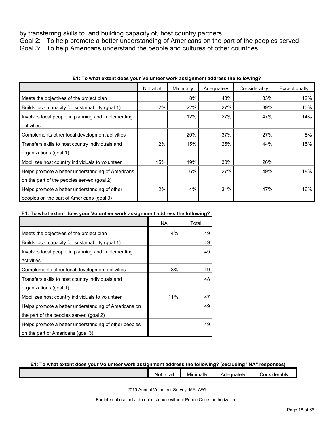by transferring skills to, and building capacity of, host country partners

Goal 2: To help promote a better understanding of Americans on the part of the peoples served

Goal 3: To help Americans understand the people and cultures of other countries

|                                                    | Not at all | Minimally | Adequately | Considerably | Exceptionally |
|----------------------------------------------------|------------|-----------|------------|--------------|---------------|
| Meets the objectives of the project plan           |            | 8%        | 43%        | 33%          | 12%           |
| Builds local capacity for sustainability (goal 1)  | 2%         | 22%       | 27%        | 39%          | 10%           |
| Involves local people in planning and implementing |            | 12%       | 27%        | 47%          | 14%           |
| activities                                         |            |           |            |              |               |
| Complements other local development activities     |            | 20%       | 37%        | 27%          | 8%            |
| Transfers skills to host country individuals and   | 2%         | 15%       | 25%        | 44%          | 15%           |
| organizations (goal 1)                             |            |           |            |              |               |
| Mobilizes host country individuals to volunteer    | 15%        | 19%       | 30%        | 26%          |               |
| Helps promote a better understanding of Americans  |            | 6%        | 27%        | 49%          | 18%           |
| on the part of the peoples served (goal 2)         |            |           |            |              |               |
| Helps promote a better understanding of other      | 2%         | 4%        | 31%        | 47%          | 16%           |
| peoples on the part of Americans (goal 3)          |            |           |            |              |               |

#### **E1: To what extent does your Volunteer work assignment address the following?**

#### **E1: To what extent does your Volunteer work assignment address the following?**

|                                                       | <b>NA</b> | Total |
|-------------------------------------------------------|-----------|-------|
| Meets the objectives of the project plan              | 4%        | 49    |
| Builds local capacity for sustainability (goal 1)     |           | 49    |
| Involves local people in planning and implementing    |           | 49    |
| activities                                            |           |       |
| Complements other local development activities        | 8%        | 49    |
| Transfers skills to host country individuals and      |           | 48    |
| organizations (goal 1)                                |           |       |
| Mobilizes host country individuals to volunteer       | 11%       | 47    |
| Helps promote a better understanding of Americans on  |           | 49    |
| the part of the peoples served (goal 2)               |           |       |
| Helps promote a better understanding of other peoples |           | 49    |
| on the part of Americans (goal 3)                     |           |       |

#### **E1: To what extent does your Volunteer work assignment address the following? (excluding "NA" responses)**

| all<br>$\sim$<br>NOt<br>αı | <br>Minimally | uequately.<br>au m | i i a mai al a me ter<br>יי<br>sıder |
|----------------------------|---------------|--------------------|--------------------------------------|
|                            |               |                    |                                      |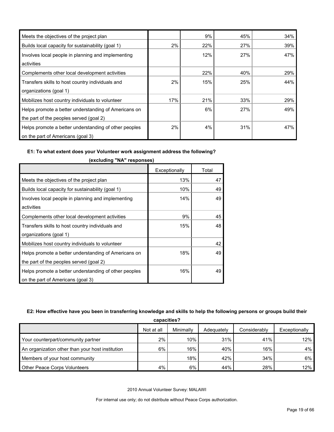| Meets the objectives of the project plan              |     | 9%  | 45% | 34% |
|-------------------------------------------------------|-----|-----|-----|-----|
| Builds local capacity for sustainability (goal 1)     | 2%  | 22% | 27% | 39% |
| Involves local people in planning and implementing    |     | 12% | 27% | 47% |
| activities                                            |     |     |     |     |
| Complements other local development activities        |     | 22% | 40% | 29% |
| Transfers skills to host country individuals and      | 2%  | 15% | 25% | 44% |
| organizations (goal 1)                                |     |     |     |     |
| Mobilizes host country individuals to volunteer       | 17% | 21% | 33% | 29% |
| Helps promote a better understanding of Americans on  |     | 6%  | 27% | 49% |
| the part of the peoples served (goal 2)               |     |     |     |     |
| Helps promote a better understanding of other peoples | 2%  | 4%  | 31% | 47% |
| on the part of Americans (goal 3)                     |     |     |     |     |

#### **E1: To what extent does your Volunteer work assignment address the following?**

|                                                       | Exceptionally | Total |
|-------------------------------------------------------|---------------|-------|
| Meets the objectives of the project plan              | 13%           | 47    |
| Builds local capacity for sustainability (goal 1)     | 10%           | 49    |
| Involves local people in planning and implementing    | 14%           | 49    |
| activities                                            |               |       |
| Complements other local development activities        | 9%            | 45    |
| Transfers skills to host country individuals and      | 15%           | 48    |
| organizations (goal 1)                                |               |       |
| Mobilizes host country individuals to volunteer       |               | 42    |
| Helps promote a better understanding of Americans on  | 18%           | 49    |
| the part of the peoples served (goal 2)               |               |       |
| Helps promote a better understanding of other peoples | 16%           | 49    |
| on the part of Americans (goal 3)                     |               |       |

**(excluding "NA" responses)**

#### **E2: How effective have you been in transferring knowledge and skills to help the following persons or groups build their**

| capacities?                                      |            |           |            |              |               |  |  |  |  |
|--------------------------------------------------|------------|-----------|------------|--------------|---------------|--|--|--|--|
|                                                  | Not at all | Minimally | Adequately | Considerably | Exceptionally |  |  |  |  |
| Your counterpart/community partner               | 2%         | 10%       | 31%        | 41%          | $12\%$        |  |  |  |  |
| An organization other than your host institution | 6%         | 16%       | 40%        | 16%          | 4%            |  |  |  |  |
| Members of your host community                   |            | 18%       | 42%        | 34%          | $6\%$         |  |  |  |  |
| Other Peace Corps Volunteers                     | 4%         | 6%        | 44%        | 28%          | 12%           |  |  |  |  |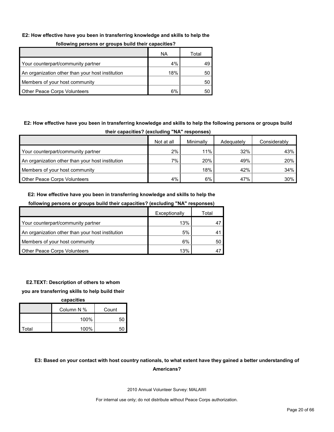#### **E2: How effective have you been in transferring knowledge and skills to help the**

#### **following persons or groups build their capacities?**

|                                                  | ΝA  | Total |
|--------------------------------------------------|-----|-------|
| Your counterpart/community partner               | 4%  | 49    |
| An organization other than your host institution | 18% | 50    |
| Members of your host community                   |     | 50    |
| <b>Other Peace Corps Volunteers</b>              | 6%  | 50    |

#### **E2: How effective have you been in transferring knowledge and skills to help the following persons or groups build**

| their capacities? (excluding "NA" responses)     |            |           |            |              |  |  |  |  |
|--------------------------------------------------|------------|-----------|------------|--------------|--|--|--|--|
|                                                  | Not at all | Minimally | Adequately | Considerably |  |  |  |  |
| Your counterpart/community partner               | 2%         | 11%       | 32%        | 43%          |  |  |  |  |
| An organization other than your host institution | 7%         | 20%       | 49%        | <b>20%</b>   |  |  |  |  |
| Members of your host community                   |            | 18%       | 42%        | 34%          |  |  |  |  |
| <b>Other Peace Corps Volunteers</b>              | 4%         | 6%        | 47%        | 30%          |  |  |  |  |

#### **E2: How effective have you been in transferring knowledge and skills to help the**

|                                                  | Exceptionally | Total |
|--------------------------------------------------|---------------|-------|
| Your counterpart/community partner               | 13%           |       |
| An organization other than your host institution | 5%            |       |
| Members of your host community                   | 6%            | 50    |
| <b>Other Peace Corps Volunteers</b>              | 13%           |       |

#### **following persons or groups build their capacities? (excluding "NA" responses)**

#### **E2.TEXT: Description of others to whom**

**you are transferring skills to help build their** 

**capacities**

|       | Column N % | Count |  |  |  |
|-------|------------|-------|--|--|--|
|       | 100%       | 50    |  |  |  |
| Total | 100%       | 50    |  |  |  |

### **E3: Based on your contact with host country nationals, to what extent have they gained a better understanding of Americans?**

2010 Annual Volunteer Survey: MALAWI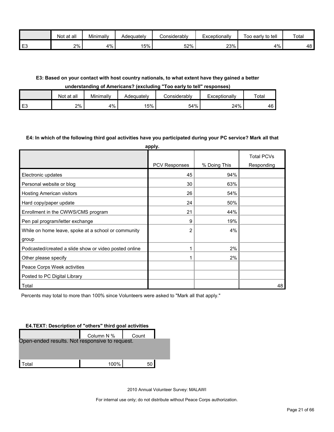|                | at all<br>Not | Minimally | Adequately | <i></i> onsiderablv≓ | Exceptionally | to tell<br>Гоо<br>⊦earlv | Total |
|----------------|---------------|-----------|------------|----------------------|---------------|--------------------------|-------|
| E <sub>3</sub> | 2%            | 4%        | 15%        | 52%                  | 23%           | 4%                       | 48 I  |

#### **E3: Based on your contact with host country nationals, to what extent have they gained a better**

#### **understanding of Americans? (excluding "Too early to tell" responses)**

|    | Not at all | Minimally | Adequatelv | considerablv: | Exceptionally | Total |
|----|------------|-----------|------------|---------------|---------------|-------|
| E3 | 2%         | 4%        | 15%        | 54%           | 24%           | 46    |

#### **E4: In which of the following third goal activities have you participated during your PC service? Mark all that**

| apply.                                                |               |              |                                 |  |  |  |  |  |
|-------------------------------------------------------|---------------|--------------|---------------------------------|--|--|--|--|--|
|                                                       | PCV Responses | % Doing This | <b>Total PCVs</b><br>Responding |  |  |  |  |  |
| Electronic updates                                    | 45            | 94%          |                                 |  |  |  |  |  |
| Personal website or blog                              | 30            | 63%          |                                 |  |  |  |  |  |
| Hosting American visitors                             | 26            | 54%          |                                 |  |  |  |  |  |
| Hard copy/paper update                                | 24            | 50%          |                                 |  |  |  |  |  |
| Enrollment in the CWWS/CMS program                    | 21            | 44%          |                                 |  |  |  |  |  |
| Pen pal program/letter exchange                       | 9             | 19%          |                                 |  |  |  |  |  |
| While on home leave, spoke at a school or community   | 2             | 4%           |                                 |  |  |  |  |  |
| group                                                 |               |              |                                 |  |  |  |  |  |
| Podcasted/created a slide show or video posted online | 1             | 2%           |                                 |  |  |  |  |  |
| Other please specify                                  |               | 2%           |                                 |  |  |  |  |  |
| Peace Corps Week activities                           |               |              |                                 |  |  |  |  |  |
| Posted to PC Digital Library                          |               |              |                                 |  |  |  |  |  |
| Total                                                 |               |              | 48                              |  |  |  |  |  |

Percents may total to more than 100% since Volunteers were asked to "Mark all that apply."

#### **E4.TEXT: Description of "others" third goal activities**

|                                                | Column N % | Count |  |
|------------------------------------------------|------------|-------|--|
| Open-ended results. Not responsive to request. |            |       |  |
|                                                |            |       |  |
|                                                |            |       |  |
| otal                                           | 100%       | 50    |  |

2010 Annual Volunteer Survey: MALAWI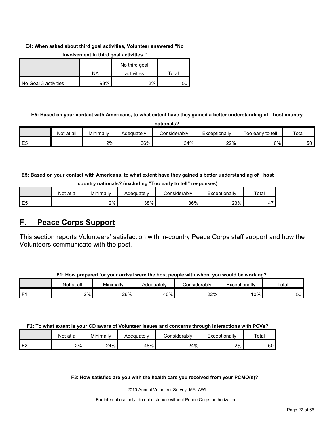#### **E4: When asked about third goal activities, Volunteer answered "No**

|                      |     | No third goal |       |
|----------------------|-----|---------------|-------|
|                      | NA  | activities    | Total |
| No Goal 3 activities | 98% | 2%            |       |

#### **involvement in third goal activities."**

#### **E5: Based on your contact with Americans, to what extent have they gained a better understanding of host country nationals?**

|                | <b>Not</b><br>at all | Minimally | Adequatelv | Considerably | Exceptionally | to tell<br>Too early | Total |
|----------------|----------------------|-----------|------------|--------------|---------------|----------------------|-------|
| E <sub>5</sub> |                      | 2%        | 36%        | 34%          | 22%           | 6%                   | 50    |

**E5: Based on your contact with Americans, to what extent have they gained a better understanding of host country nationals? (excluding "Too early to tell" responses)**

|                | ---------<br>-------------<br>--------<br>---------- |           |            |              |               |       |  |  |  |
|----------------|------------------------------------------------------|-----------|------------|--------------|---------------|-------|--|--|--|
|                | Not at all                                           | Minimally | Adequatelv | Considerablv | Exceptionally | Total |  |  |  |
| E <sub>5</sub> |                                                      | 2%        | 38%        | 36%          | 23%           | . .   |  |  |  |

### <span id="page-21-0"></span>**F. Peace Corps Support**

This section reports Volunteers' satisfaction with in-country Peace Corps staff support and how the Volunteers communicate with the post.

| F1: How prepared for your arrival were the host people with whom you would be working? |  |
|----------------------------------------------------------------------------------------|--|
|----------------------------------------------------------------------------------------|--|

|    | Not at all | Minimally | Adequately | Considerably | Exceptionally | Total |
|----|------------|-----------|------------|--------------|---------------|-------|
| г. | 2%         | 26%       | 40%        | 22%          | 10%           | 50    |

**F2: To what extent is your CD aware of Volunteer issues and concerns through interactions with PCVs?**

|       | Not at all | Minimally | Adequately | ≿onsiderablv | Exceptionally | Tota. |
|-------|------------|-----------|------------|--------------|---------------|-------|
| 1 EC. | 2%         | 24%       | 48%        | 24%          | 2%            | 50    |

#### **F3: How satisfied are you with the health care you received from your PCMO(s)?**

2010 Annual Volunteer Survey: MALAWI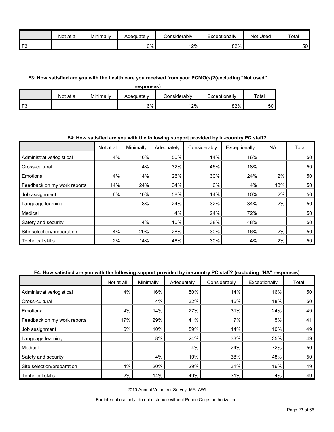|                 | Not at all | Minimally | Adequately | Considerably | Exceptionally | <b>Not Used</b> | Total |
|-----------------|------------|-----------|------------|--------------|---------------|-----------------|-------|
| $\mathsf{I}$ F3 |            |           | 6%         | 12%          | 82%           |                 | 50    |

#### **F3: How satisfied are you with the health care you received from your PCMO(s)?(excluding "Not used"**

| responses)                                                                      |  |  |    |     |     |    |  |  |
|---------------------------------------------------------------------------------|--|--|----|-----|-----|----|--|--|
| Total<br>Not at all<br>Minimally<br>Considerablv<br>Exceptionally<br>Adequately |  |  |    |     |     |    |  |  |
| F٩                                                                              |  |  | 6% | 12% | 82% | 50 |  |  |

#### **F4: How satisfied are you with the following support provided by in-country PC staff?**

|                             | Not at all | Minimally | Adequately | Considerably | Exceptionally | <b>NA</b> | Total |
|-----------------------------|------------|-----------|------------|--------------|---------------|-----------|-------|
| Administrative/logistical   | 4%         | 16%       | 50%        | 14%          | 16%           |           | 50    |
| Cross-cultural              |            | 4%        | 32%        | 46%          | 18%           |           | 50    |
| Emotional                   | 4%         | 14%       | 26%        | 30%          | 24%           | 2%        | 50    |
| Feedback on my work reports | 14%        | 24%       | 34%        | 6%           | 4%            | 18%       | 50    |
| Job assignment              | 6%         | 10%       | 58%        | 14%          | 10%           | 2%        | 50    |
| Language learning           |            | 8%        | 24%        | 32%          | 34%           | 2%        | 50    |
| Medical                     |            |           | 4%         | 24%          | 72%           |           | 50    |
| Safety and security         |            | 4%        | 10%        | 38%          | 48%           |           | 50    |
| Site selection/preparation  | 4%         | 20%       | 28%        | 30%          | 16%           | 2%        | 50    |
| <b>Technical skills</b>     | 2%         | 14%       | 48%        | 30%          | 4%            | 2%        | 50    |

#### **F4: How satisfied are you with the following support provided by in-country PC staff? (excluding "NA" responses)**

|                             | Not at all | Minimally | Adequately | Considerably | Exceptionally | Total |
|-----------------------------|------------|-----------|------------|--------------|---------------|-------|
| Administrative/logistical   | 4%         | 16%       | 50%        | 14%          | 16%           | 50    |
| Cross-cultural              |            | 4%        | 32%        | 46%          | 18%           | 50    |
| Emotional                   | 4%         | 14%       | 27%        | 31%          | 24%           | 49    |
| Feedback on my work reports | 17%        | 29%       | 41%        | 7%           | 5%            | 41    |
| Job assignment              | 6%         | 10%       | 59%        | 14%          | 10%           | 49    |
| Language learning           |            | 8%        | 24%        | 33%          | 35%           | 49    |
| Medical                     |            |           | 4%         | 24%          | 72%           | 50    |
| Safety and security         |            | 4%        | 10%        | 38%          | 48%           | 50    |
| Site selection/preparation  | 4%         | 20%       | 29%        | 31%          | 16%           | 49    |
| <b>Technical skills</b>     | 2%         | 14%       | 49%        | 31%          | 4%            | 49    |

2010 Annual Volunteer Survey: MALAWI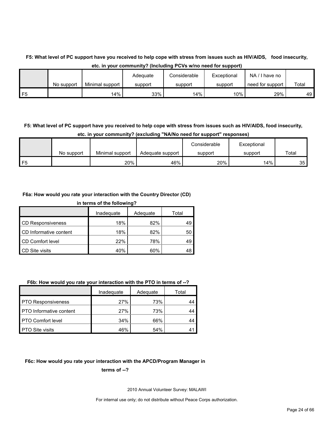#### **F5: What level of PC support have you received to help cope with stress from issues such as HIV/AIDS, food insecurity, etc. in your community? (Including PCVs w/no need for support)**

|    |            |                 | Adequate | Considerable | Exceptional | NA.<br>I have no |       |
|----|------------|-----------------|----------|--------------|-------------|------------------|-------|
|    | No support | Minimal support | support  | support      | support     | need for support | Total |
| F5 |            | 14%             | 33%      | 14%          | 10%         | 29%              | 49    |

#### **F5: What level of PC support have you received to help cope with stress from issues such as HIV/AIDS, food insecurity, etc. in your community? (excluding "NA/No need for support" responses)**

|           |            |                 |                  | Considerable | Exceptional |       |
|-----------|------------|-----------------|------------------|--------------|-------------|-------|
|           | No support | Minimal support | Adequate support | support      | support     | Total |
| <b>F5</b> |            | 20%             | 46%              | 20%          | 14%         | 35    |

#### **F6a: How would you rate your interaction with the Country Director (CD)**

| in terms of the following?      |     |     |    |  |  |  |  |  |
|---------------------------------|-----|-----|----|--|--|--|--|--|
| Inadequate<br>Adequate<br>Total |     |     |    |  |  |  |  |  |
| <b>CD Responsiveness</b>        | 18% | 82% | 49 |  |  |  |  |  |
| CD Informative content          | 18% | 82% | 50 |  |  |  |  |  |
| CD Comfort level                | 22% | 78% | 49 |  |  |  |  |  |
| <b>CD</b> Site visits           | 40% | 60% |    |  |  |  |  |  |

#### **F6b: How would you rate your interaction with the PTO in terms of --?**

|                           | Inadequate | Adequate | Total |
|---------------------------|------------|----------|-------|
| <b>PTO Responsiveness</b> | 27%        | 73%      | 44    |
| PTO Informative content   | 27%        | 73%      | 44    |
| <b>PTO Comfort level</b>  | 34%        | 66%      | 44    |
| <b>PTO Site visits</b>    | 46%        | 54%      |       |

#### **F6c: How would you rate your interaction with the APCD/Program Manager in**

#### **terms of --?**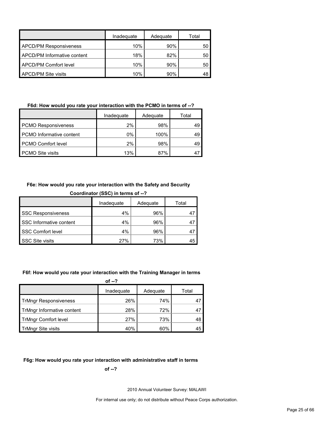|                                    | Inadequate | Adequate | Total |
|------------------------------------|------------|----------|-------|
| <b>APCD/PM Responsiveness</b>      | 10%        | 90%      | 50    |
| <b>APCD/PM Informative content</b> | 18%        | 82%      | 50    |
| APCD/PM Comfort level              | 10%        | 90%      | 50    |
| <b>APCD/PM Site visits</b>         | 10%        | 90%      |       |

#### **F6d: How would you rate your interaction with the PCMO in terms of --?**

|                                 | Inadeguate | Adequate | Total |  |
|---------------------------------|------------|----------|-------|--|
| <b>PCMO Responsiveness</b>      | 2%         | 98%      | 49    |  |
| <b>PCMO</b> Informative content | 0%         | 100%     | 49    |  |
| <b>PCMO Comfort level</b>       | 2%         | 98%      | 49    |  |
| <b>PCMO Site visits</b>         | 13%        | 87%      |       |  |

#### **F6e: How would you rate your interaction with the Safety and Security**

| Coordinator (SSC) in terms of --? |       |     |    |  |  |  |  |
|-----------------------------------|-------|-----|----|--|--|--|--|
| Inadequate<br>Adequate<br>Total   |       |     |    |  |  |  |  |
| <b>SSC Responsiveness</b>         | 4%    | 96% |    |  |  |  |  |
| SSC Informative content           | 4%    | 96% |    |  |  |  |  |
| <b>SSC Comfort level</b>          | $4\%$ | 96% |    |  |  |  |  |
| SSC Site visits                   | 27%   | 73% | 45 |  |  |  |  |

#### **F6f: How would you rate your interaction with the Training Manager in terms**

| of $-2$                      |            |          |       |  |  |
|------------------------------|------------|----------|-------|--|--|
|                              | Inadequate | Adequate | Total |  |  |
| <b>TrMngr Responsiveness</b> | 26%        | 74%      | 47    |  |  |
| TrMngr Informative content   | 28%        | 72%      | 47    |  |  |
| <b>TrMngr Comfort level</b>  | 27%        | 73%      | 48    |  |  |
| <b>TrMngr Site visits</b>    | 40%        | 60%      | 45    |  |  |

#### **F6g: How would you rate your interaction with administrative staff in terms**

**of --?**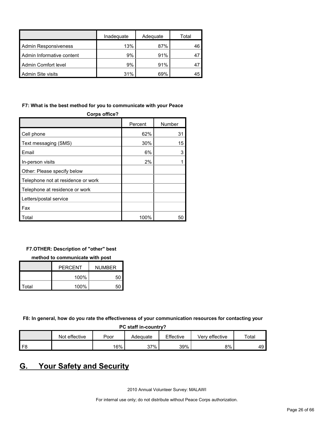|                           | Inadeguate | Adequate | Total |
|---------------------------|------------|----------|-------|
| Admin Responsiveness      | 13%        | 87%      | 46    |
| Admin Informative content | 9%         | 91%      |       |
| Admin Comfort level       | 9%         | 91%      |       |
| Admin Site visits         | 31%        | 69%      |       |

#### **F7: What is the best method for you to communicate with your Peace**

| <b>Corps office?</b>               |         |        |  |  |
|------------------------------------|---------|--------|--|--|
|                                    | Percent | Number |  |  |
| Cell phone                         | 62%     | 31     |  |  |
| Text messaging (SMS)               | 30%     | 15     |  |  |
| Email                              | 6%      | 3      |  |  |
| In-person visits                   | 2%      |        |  |  |
| Other: Please specify below        |         |        |  |  |
| Telephone not at residence or work |         |        |  |  |
| Telephone at residence or work     |         |        |  |  |
| Letters/postal service             |         |        |  |  |
| Fax                                |         |        |  |  |
| Total                              | 100%    | 50     |  |  |

#### **F7.OTHER: Description of "other" best**

#### **method to communicate with post**

|       | <b>PERCENT</b> | <b>NUMBER</b> |
|-------|----------------|---------------|
|       | 100%           | 50            |
| Total | 100%           | 50            |

**F8: In general, how do you rate the effectiveness of your communication resources for contacting your** 

#### **PC staff in-country?**

|                | Not effective | Poor | Adeɑuate | Effective | effective<br>Verv | Total |
|----------------|---------------|------|----------|-----------|-------------------|-------|
| F <sub>8</sub> |               | 16%  | 37%      | 39%       | 8%                | 49    |

### <span id="page-25-0"></span>**G. Your Safety and Security**

2010 Annual Volunteer Survey: MALAWI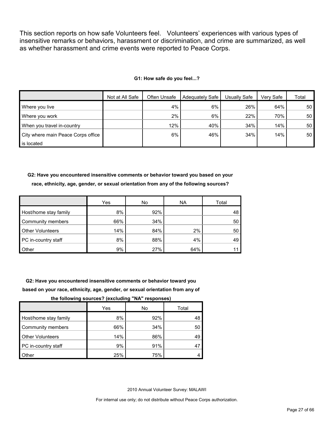This section reports on how safe Volunteers feel. Volunteers' experiences with various types of insensitive remarks or behaviors, harassment or discrimination, and crime are summarized, as well as whether harassment and crime events were reported to Peace Corps.

#### **G1: How safe do you feel...?**

|                                    | Not at All Safe | Often Unsafe | Adequately Safe | Usually Safe | Very Safe | Total           |
|------------------------------------|-----------------|--------------|-----------------|--------------|-----------|-----------------|
| Where you live                     |                 | 4%           | 6%              | 26%          | 64%       | 50 <sup>1</sup> |
| Where you work                     |                 | $2\%$        | 6%              | 22%          | 70%       | 50 <sub>1</sub> |
| When you travel in-country         |                 | 12%          | 40%             | 34%          | 14%       | 50              |
| City where main Peace Corps office |                 | 6%           | 46%             | 34%          | 14%       | 50              |
| is located                         |                 |              |                 |              |           |                 |

**G2: Have you encountered insensitive comments or behavior toward you based on your race, ethnicity, age, gender, or sexual orientation from any of the following sources?**

|                         | Yes | No  | <b>NA</b> | Total |
|-------------------------|-----|-----|-----------|-------|
| Host/home stay family   | 8%  | 92% |           | 48    |
| Community members       | 66% | 34% |           | 50    |
| <b>Other Volunteers</b> | 14% | 84% | 2%        | 50    |
| PC in-country staff     | 8%  | 88% | 4%        | 49    |
| Other                   | 9%  | 27% | 64%       |       |

**G2: Have you encountered insensitive comments or behavior toward you based on your race, ethnicity, age, gender, or sexual orientation from any of** 

|  |  | the following sources? (excluding "NA" responses) |  |
|--|--|---------------------------------------------------|--|
|  |  |                                                   |  |

|                         | Yes | No  | Total |
|-------------------------|-----|-----|-------|
| Host/home stay family   | 8%  | 92% | 48    |
| Community members       | 66% | 34% | 50    |
| <b>Other Volunteers</b> | 14% | 86% | 49    |
| PC in-country staff     | 9%  | 91% | 41    |
| Other                   | 25% | 75% |       |

2010 Annual Volunteer Survey: MALAWI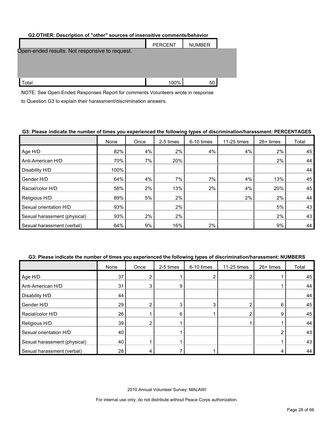#### **G2.OTHER: Description of "other" sources of insensitive comments/behavior**

|                                                | <b>PERCENT</b> | <b>NUMBER</b> |  |
|------------------------------------------------|----------------|---------------|--|
| Open-ended results. Not responsive to request. |                |               |  |
|                                                |                |               |  |
|                                                |                |               |  |
| Total                                          | 100%           | 50            |  |

NOTE: See Open-Ended Responses Report for comments Volunteers wrote in response

to Question G3 to explain their harassment/discrimination answers.

#### **G3: Please indicate the number of times you experienced the following types of discrimination/harassment: PERCENTAGES**

|                              | None | Once  | 2-5 times | 6-10 times | 11-25 times | 26+ times | Total |
|------------------------------|------|-------|-----------|------------|-------------|-----------|-------|
| Age H/D                      | 82%  | 4%    | 2%        | 4%         | 4%          | 2%        | 45    |
| Anti-American H/D            | 70%  | 7%    | 20%       |            |             | 2%        | 44    |
| Disability H/D               | 100% |       |           |            |             |           | 44    |
| Gender H/D                   | 64%  | 4%    | 7%        | 7%         | 4%          | 13%       | 45    |
| Racial/color H/D             | 58%  | 2%    | 13%       | 2%         | 4%          | 20%       | 45    |
| Religious H/D                | 89%  | 5%    | 2%        |            | 2%          | 2%        | 44    |
| Sexual orientation H/D       | 93%  |       | 2%        |            |             | 5%        | 43    |
| Sexual harassment (physical) | 93%  | $2\%$ | 2%        |            |             | 2%        | 43    |
| Sexual harassment (verbal)   | 64%  | 9%    | 16%       | 2%         |             | 9%        | 44    |

#### **G3: Please indicate the number of times you experienced the following types of discrimination/harassment: NUMBERS**

|                              | None | Once | 2-5 times | 6-10 times | 11-25 times | 26+ times | Total |
|------------------------------|------|------|-----------|------------|-------------|-----------|-------|
| Age H/D                      | 37   |      |           |            |             |           | 45    |
| Anti-American H/D            | 31   | 3    | 9         |            |             |           | 44    |
| Disability H/D               | 44   |      |           |            |             |           | 44    |
| Gender H/D                   | 29   |      |           |            |             | 6         | 45    |
| Racial/color H/D             | 26   |      | 6         |            | ົ           | 9         | 45    |
| Religious H/D                | 39   |      |           |            |             |           | 44    |
| Sexual orientation H/D       | 40   |      |           |            |             | n         | 43    |
| Sexual harassment (physical) | 40   |      |           |            |             |           | 43    |
| Sexual harassment (verbal)   | 28   |      |           |            |             | 4         | 44    |

2010 Annual Volunteer Survey: MALAWI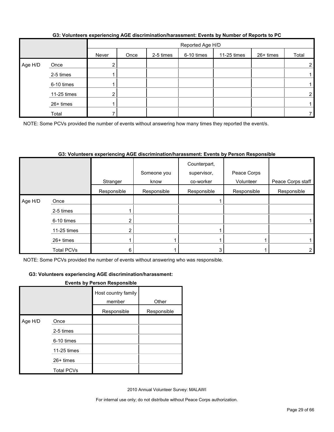|         |             |               | Reported Age H/D |           |            |             |           |                |  |  |  |
|---------|-------------|---------------|------------------|-----------|------------|-------------|-----------|----------------|--|--|--|
|         |             | Never         | Once             | 2-5 times | 6-10 times | 11-25 times | 26+ times | Total          |  |  |  |
| Age H/D | Once        |               |                  |           |            |             |           | $\overline{2}$ |  |  |  |
|         | 2-5 times   |               |                  |           |            |             |           |                |  |  |  |
|         | 6-10 times  |               |                  |           |            |             |           |                |  |  |  |
|         | 11-25 times | ົ<br><u> </u> |                  |           |            |             |           | $\overline{2}$ |  |  |  |
|         | 26+ times   |               |                  |           |            |             |           |                |  |  |  |
|         | Total       |               |                  |           |            |             |           |                |  |  |  |

#### **G3: Volunteers experiencing AGE discrimination/harassment: Events by Number of Reports to PC**

NOTE: Some PCVs provided the number of events without answering how many times they reported the event/s.

#### **G3: Volunteers experiencing AGE discrimination/harassment: Events by Person Responsible**

|         |                   | Stranger       | Someone you<br>know | Counterpart,<br>supervisor,<br>co-worker | Peace Corps<br>Volunteer | Peace Corps staff |
|---------|-------------------|----------------|---------------------|------------------------------------------|--------------------------|-------------------|
|         |                   | Responsible    | Responsible         | Responsible                              | Responsible              | Responsible       |
| Age H/D | Once              |                |                     |                                          |                          |                   |
|         | 2-5 times         |                |                     |                                          |                          |                   |
|         | 6-10 times        |                |                     |                                          |                          |                   |
|         | 11-25 times       | $\overline{2}$ |                     |                                          |                          |                   |
|         | $26+$ times       |                |                     |                                          |                          |                   |
|         | <b>Total PCVs</b> | 6              |                     | 3                                        |                          |                   |

NOTE: Some PCVs provided the number of events without answering who was responsible.

#### **G3: Volunteers experiencing AGE discrimination/harassment:**

#### **Events by Person Responsible**

|         |                   | Host country family<br>member | Other       |
|---------|-------------------|-------------------------------|-------------|
|         |                   | Responsible                   | Responsible |
| Age H/D | Once              |                               |             |
|         | 2-5 times         |                               |             |
|         | 6-10 times        |                               |             |
|         | 11-25 times       |                               |             |
|         | $26+$ times       |                               |             |
|         | <b>Total PCVs</b> |                               |             |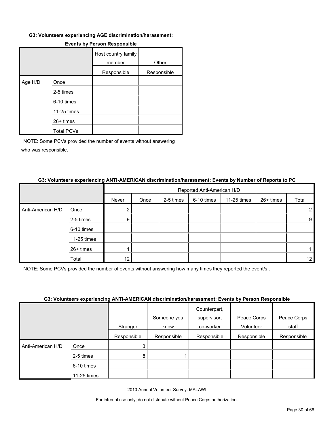#### **G3: Volunteers experiencing AGE discrimination/harassment:**

|         |                   | Host country family<br>member | Other       |
|---------|-------------------|-------------------------------|-------------|
|         |                   | Responsible                   | Responsible |
| Age H/D | Once              |                               |             |
|         | 2-5 times         |                               |             |
|         | 6-10 times        |                               |             |
|         | 11-25 times       |                               |             |
|         | 26+ times         |                               |             |
|         | <b>Total PCVs</b> |                               |             |

#### **Events by Person Responsible**

NOTE: Some PCVs provided the number of events without answering who was responsible.

#### **G3: Volunteers experiencing ANTI-AMERICAN discrimination/harassment: Events by Number of Reports to PC**

|                   |             | Reported Anti-American H/D |      |           |            |             |           |                 |
|-------------------|-------------|----------------------------|------|-----------|------------|-------------|-----------|-----------------|
|                   |             | Never                      | Once | 2-5 times | 6-10 times | 11-25 times | 26+ times | Total           |
| Anti-American H/D | Once        | ⌒                          |      |           |            |             |           |                 |
|                   | 2-5 times   | 9                          |      |           |            |             |           | 9               |
|                   | 6-10 times  |                            |      |           |            |             |           |                 |
|                   | 11-25 times |                            |      |           |            |             |           |                 |
|                   | 26+ times   |                            |      |           |            |             |           |                 |
|                   | Total       | 12                         |      |           |            |             |           | 12 <sub>1</sub> |

NOTE: Some PCVs provided the number of events without answering how many times they reported the event/s .

#### **G3: Volunteers experiencing ANTI-AMERICAN discrimination/harassment: Events by Person Responsible**

|                   |             | Stranger    | Someone you<br>know | Counterpart,<br>supervisor,<br>co-worker | Peace Corps<br>Volunteer | Peace Corps<br>staff |
|-------------------|-------------|-------------|---------------------|------------------------------------------|--------------------------|----------------------|
|                   |             |             |                     |                                          |                          |                      |
|                   |             | Responsible | Responsible         | Responsible                              | Responsible              | Responsible          |
| Anti-American H/D | Once        | 3           |                     |                                          |                          |                      |
|                   | 2-5 times   | 8           |                     |                                          |                          |                      |
|                   | 6-10 times  |             |                     |                                          |                          |                      |
|                   | 11-25 times |             |                     |                                          |                          |                      |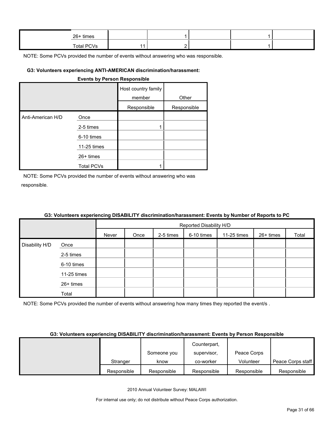| 26+ times  |  |  |  |
|------------|--|--|--|
| Total PCVs |  |  |  |

#### **G3: Volunteers experiencing ANTI-AMERICAN discrimination/harassment:**

#### **Events by Person Responsible**

|                   |             | Host country family<br>member | Other       |  |
|-------------------|-------------|-------------------------------|-------------|--|
|                   |             | Responsible                   | Responsible |  |
| Anti-American H/D | Once        |                               |             |  |
|                   | 2-5 times   |                               |             |  |
|                   | 6-10 times  |                               |             |  |
|                   | 11-25 times |                               |             |  |
|                   | $26+$ times |                               |             |  |
|                   | Total PCVs  |                               |             |  |

NOTE: Some PCVs provided the number of events without answering who was responsible.

#### **G3: Volunteers experiencing DISABILITY discrimination/harassment: Events by Number of Reports to PC**

|                |             |       | Reported Disability H/D |           |            |             |           |       |  |  |
|----------------|-------------|-------|-------------------------|-----------|------------|-------------|-----------|-------|--|--|
|                |             | Never | Once                    | 2-5 times | 6-10 times | 11-25 times | 26+ times | Total |  |  |
| Disability H/D | Once        |       |                         |           |            |             |           |       |  |  |
|                | 2-5 times   |       |                         |           |            |             |           |       |  |  |
|                | 6-10 times  |       |                         |           |            |             |           |       |  |  |
|                | 11-25 times |       |                         |           |            |             |           |       |  |  |
|                | 26+ times   |       |                         |           |            |             |           |       |  |  |
|                | Total       |       |                         |           |            |             |           |       |  |  |

NOTE: Some PCVs provided the number of events without answering how many times they reported the event/s.

#### **G3: Volunteers experiencing DISABILITY discrimination/harassment: Events by Person Responsible**

|             |             | Counterpart, |             |                   |
|-------------|-------------|--------------|-------------|-------------------|
|             | Someone you | supervisor,  | Peace Corps |                   |
| Stranger    | know        | co-worker    | Volunteer   | Peace Corps staff |
| Responsible | Responsible | Responsible  | Responsible | Responsible       |

2010 Annual Volunteer Survey: MALAWI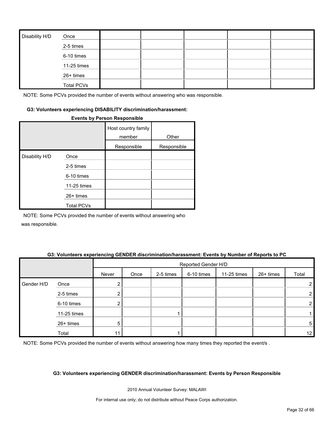| Disability H/D | Once              |  |  |  |
|----------------|-------------------|--|--|--|
|                | 2-5 times         |  |  |  |
|                | 6-10 times        |  |  |  |
|                | 11-25 times       |  |  |  |
|                | 26+ times         |  |  |  |
|                | <b>Total PCVs</b> |  |  |  |

#### **G3: Volunteers experiencing DISABILITY discrimination/harassment:**

#### **Events by Person Responsible**

|                |                   | Host country family<br>member | Other       |
|----------------|-------------------|-------------------------------|-------------|
|                |                   | Responsible                   | Responsible |
| Disability H/D | Once              |                               |             |
|                | 2-5 times         |                               |             |
|                | 6-10 times        |                               |             |
|                | 11-25 times       |                               |             |
|                | 26+ times         |                               |             |
|                | <b>Total PCVs</b> |                               |             |

NOTE: Some PCVs provided the number of events without answering who was responsible.

#### **G3: Volunteers experiencing GENDER discrimination/harassment: Events by Number of Reports to PC**

|            |             | Reported Gender H/D |      |           |            |             |           |                 |
|------------|-------------|---------------------|------|-----------|------------|-------------|-----------|-----------------|
|            |             | Never               | Once | 2-5 times | 6-10 times | 11-25 times | 26+ times | Total           |
| Gender H/D | Once        |                     |      |           |            |             |           | 2               |
|            | 2-5 times   |                     |      |           |            |             |           | $\overline{2}$  |
|            | 6-10 times  |                     |      |           |            |             |           | 2               |
|            | 11-25 times |                     |      |           |            |             |           |                 |
|            | 26+ times   | 5                   |      |           |            |             |           | $5\phantom{.0}$ |
|            | Total       | 11                  |      |           |            |             |           | 12 <sub>1</sub> |

NOTE: Some PCVs provided the number of events without answering how many times they reported the event/s.

#### **G3: Volunteers experiencing GENDER discrimination/harassment: Events by Person Responsible**

2010 Annual Volunteer Survey: MALAWI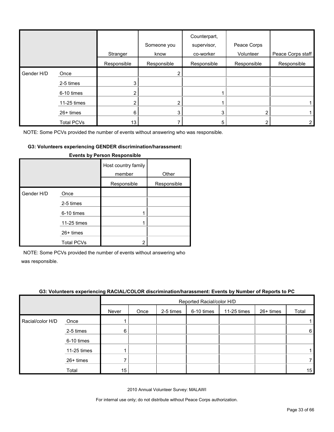|            |                   | Stranger    | Someone you<br>know | Counterpart,<br>supervisor,<br>co-worker | Peace Corps<br>Volunteer | Peace Corps staff |
|------------|-------------------|-------------|---------------------|------------------------------------------|--------------------------|-------------------|
|            |                   | Responsible | Responsible         | Responsible                              | Responsible              | Responsible       |
| Gender H/D | Once              |             | 2                   |                                          |                          |                   |
|            | 2-5 times         | 3           |                     |                                          |                          |                   |
|            | 6-10 times        | 2           |                     |                                          |                          |                   |
|            | 11-25 times       | 2           | 2                   |                                          |                          |                   |
|            | 26+ times         | 6           | 3                   | 3                                        | 2                        |                   |
|            | <b>Total PCVs</b> | 13          |                     | 5                                        |                          |                   |

#### **G3: Volunteers experiencing GENDER discrimination/harassment:**

|            |                   | Host country family<br>member | Other       |
|------------|-------------------|-------------------------------|-------------|
|            |                   | Responsible                   | Responsible |
| Gender H/D | Once              |                               |             |
|            | 2-5 times         |                               |             |
|            | 6-10 times        |                               |             |
|            | 11-25 times       |                               |             |
|            | $26+$ times       |                               |             |
|            | <b>Total PCVs</b> | 2                             |             |

#### **Events by Person Responsible**

NOTE: Some PCVs provided the number of events without answering who

was responsible.

#### **G3: Volunteers experiencing RACIAL/COLOR discrimination/harassment: Events by Number of Reports to PC**

|                  |             |       | Reported Racial/color H/D |           |            |             |           |       |
|------------------|-------------|-------|---------------------------|-----------|------------|-------------|-----------|-------|
|                  |             | Never | Once                      | 2-5 times | 6-10 times | 11-25 times | 26+ times | Total |
| Racial/color H/D | Once        |       |                           |           |            |             |           |       |
|                  | 2-5 times   | 6     |                           |           |            |             |           | 6     |
|                  | 6-10 times  |       |                           |           |            |             |           |       |
|                  | 11-25 times |       |                           |           |            |             |           |       |
|                  | 26+ times   |       |                           |           |            |             |           |       |
|                  | Total       | 15    |                           |           |            |             |           | 15    |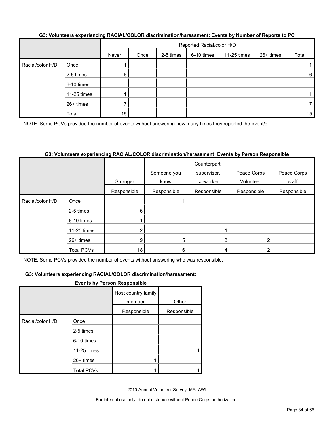| G3: Volunteers experiencing RACIAL/COLOR discrimination/harassment: Events by Number of Reports to PC |  |
|-------------------------------------------------------------------------------------------------------|--|
|                                                                                                       |  |

|                  |             | Reported Racial/color H/D |      |           |            |             |           |       |  |
|------------------|-------------|---------------------------|------|-----------|------------|-------------|-----------|-------|--|
|                  |             | Never                     | Once | 2-5 times | 6-10 times | 11-25 times | 26+ times | Total |  |
| Racial/color H/D | Once        |                           |      |           |            |             |           |       |  |
|                  | 2-5 times   | 6                         |      |           |            |             |           | 6     |  |
|                  | 6-10 times  |                           |      |           |            |             |           |       |  |
|                  | 11-25 times |                           |      |           |            |             |           |       |  |
|                  | 26+ times   |                           |      |           |            |             |           |       |  |
|                  | Total       | 15                        |      |           |            |             |           | 15    |  |

NOTE: Some PCVs provided the number of events without answering how many times they reported the event/s .

#### **G3: Volunteers experiencing RACIAL/COLOR discrimination/harassment: Events by Person Responsible**

|                  |                   | Stranger    | Someone you<br>know | Counterpart,<br>supervisor,<br>co-worker | Peace Corps<br>Volunteer | Peace Corps<br>staff |
|------------------|-------------------|-------------|---------------------|------------------------------------------|--------------------------|----------------------|
|                  |                   | Responsible | Responsible         | Responsible                              | Responsible              | Responsible          |
| Racial/color H/D | Once              |             |                     |                                          |                          |                      |
|                  | 2-5 times         | 6           |                     |                                          |                          |                      |
|                  | 6-10 times        |             |                     |                                          |                          |                      |
|                  | 11-25 times       |             |                     |                                          |                          |                      |
|                  | $26+$ times       | 9           | 5                   | 3                                        |                          |                      |
|                  | <b>Total PCVs</b> | 18          | 6                   | 4                                        |                          |                      |

NOTE: Some PCVs provided the number of events without answering who was responsible.

#### **G3: Volunteers experiencing RACIAL/COLOR discrimination/harassment:**

#### **Events by Person Responsible**

|                  |                   | Host country family<br>member | Other       |
|------------------|-------------------|-------------------------------|-------------|
|                  |                   | Responsible                   | Responsible |
| Racial/color H/D | Once              |                               |             |
|                  | 2-5 times         |                               |             |
|                  | 6-10 times        |                               |             |
|                  | 11-25 times       |                               |             |
|                  | $26+$ times       |                               |             |
|                  | <b>Total PCVs</b> |                               |             |

2010 Annual Volunteer Survey: MALAWI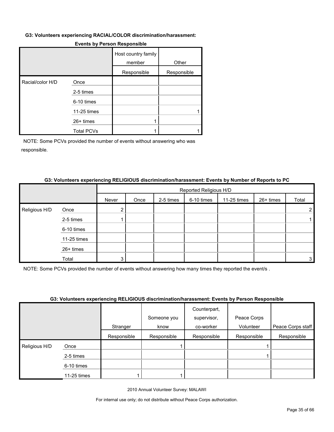#### **G3: Volunteers experiencing RACIAL/COLOR discrimination/harassment:**

|                  |                   | Host country family<br>member | Other       |
|------------------|-------------------|-------------------------------|-------------|
|                  |                   | Responsible                   | Responsible |
| Racial/color H/D | Once              |                               |             |
|                  | 2-5 times         |                               |             |
|                  | 6-10 times        |                               |             |
|                  | 11-25 times       |                               |             |
|                  | 26+ times         |                               |             |
|                  | <b>Total PCVs</b> |                               |             |

#### **Events by Person Responsible**

NOTE: Some PCVs provided the number of events without answering who was responsible.

#### **G3: Volunteers experiencing RELIGIOUS discrimination/harassment: Events by Number of Reports to PC**

|               |             |       | Reported Religious H/D |           |            |             |           |       |
|---------------|-------------|-------|------------------------|-----------|------------|-------------|-----------|-------|
|               |             | Never | Once                   | 2-5 times | 6-10 times | 11-25 times | 26+ times | Total |
| Religious H/D | Once        |       |                        |           |            |             |           |       |
|               | 2-5 times   |       |                        |           |            |             |           |       |
|               | 6-10 times  |       |                        |           |            |             |           |       |
|               | 11-25 times |       |                        |           |            |             |           |       |
|               | 26+ times   |       |                        |           |            |             |           |       |
|               | Total       | 3     |                        |           |            |             |           | 3     |

NOTE: Some PCVs provided the number of events without answering how many times they reported the event/s .

#### **G3: Volunteers experiencing RELIGIOUS discrimination/harassment: Events by Person Responsible**

|                    |             |             |             | Counterpart, |             |                   |
|--------------------|-------------|-------------|-------------|--------------|-------------|-------------------|
|                    |             |             | Someone you | supervisor,  | Peace Corps |                   |
|                    |             | Stranger    | know        | co-worker    | Volunteer   | Peace Corps staff |
|                    |             | Responsible | Responsible | Responsible  | Responsible | Responsible       |
| Religious H/D<br>I | Once        |             |             |              |             |                   |
|                    | 2-5 times   |             |             |              |             |                   |
|                    | 6-10 times  |             |             |              |             |                   |
|                    | 11-25 times |             |             |              |             |                   |

2010 Annual Volunteer Survey: MALAWI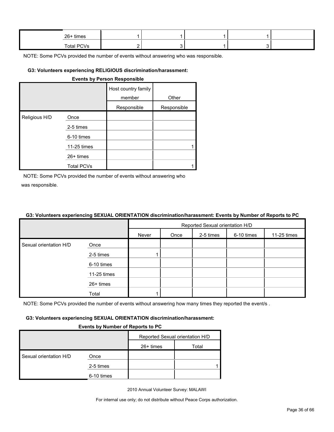| 26+ times  |  |  |  |
|------------|--|--|--|
| Total PCVs |  |  |  |

#### **G3: Volunteers experiencing RELIGIOUS discrimination/harassment:**

| <b>Events by Person Responsible</b> |                   |                               |             |  |  |  |  |
|-------------------------------------|-------------------|-------------------------------|-------------|--|--|--|--|
|                                     |                   | Host country family<br>member | Other       |  |  |  |  |
|                                     |                   | Responsible                   | Responsible |  |  |  |  |
| Religious H/D                       | Once              |                               |             |  |  |  |  |
|                                     | 2-5 times         |                               |             |  |  |  |  |
|                                     | 6-10 times        |                               |             |  |  |  |  |
|                                     | 11-25 times       |                               |             |  |  |  |  |
|                                     | $26+$ times       |                               |             |  |  |  |  |
|                                     | <b>Total PCVs</b> |                               |             |  |  |  |  |

NOTE: Some PCVs provided the number of events without answering who was responsible.

#### **G3: Volunteers experiencing SEXUAL ORIENTATION discrimination/harassment: Events by Number of Reports to PC**

|                        |             | Reported Sexual orientation H/D |      |           |            |             |  |
|------------------------|-------------|---------------------------------|------|-----------|------------|-------------|--|
|                        |             | Never                           | Once | 2-5 times | 6-10 times | 11-25 times |  |
| Sexual orientation H/D | Once        |                                 |      |           |            |             |  |
|                        | 2-5 times   |                                 |      |           |            |             |  |
|                        | 6-10 times  |                                 |      |           |            |             |  |
|                        | 11-25 times |                                 |      |           |            |             |  |
|                        | 26+ times   |                                 |      |           |            |             |  |
|                        | Total       |                                 |      |           |            |             |  |

NOTE: Some PCVs provided the number of events without answering how many times they reported the event/s.

#### **G3: Volunteers experiencing SEXUAL ORIENTATION discrimination/harassment:**

#### **Events by Number of Reports to PC**

|                        |            | Reported Sexual orientation H/D |       |  |  |
|------------------------|------------|---------------------------------|-------|--|--|
|                        |            | $26+$ times                     | Total |  |  |
| Sexual orientation H/D | Once       |                                 |       |  |  |
|                        | 2-5 times  |                                 |       |  |  |
|                        | 6-10 times |                                 |       |  |  |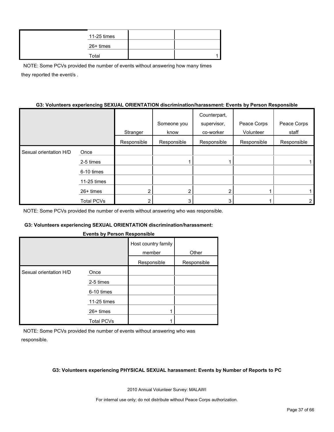| 11-25 times |  |
|-------------|--|
| 26+ times   |  |
| Total       |  |

NOTE: Some PCVs provided the number of events without answering how many times they reported the event/s .

#### **G3: Volunteers experiencing SEXUAL ORIENTATION discrimination/harassment: Events by Person Responsible**

|                        |                   |             |             | Counterpart, |             |             |
|------------------------|-------------------|-------------|-------------|--------------|-------------|-------------|
|                        |                   |             | Someone you | supervisor,  | Peace Corps | Peace Corps |
|                        |                   | Stranger    | know        | co-worker    | Volunteer   | staff       |
|                        |                   | Responsible | Responsible | Responsible  | Responsible | Responsible |
| Sexual orientation H/D | Once              |             |             |              |             |             |
|                        | 2-5 times         |             |             |              |             |             |
|                        | 6-10 times        |             |             |              |             |             |
|                        | 11-25 times       |             |             |              |             |             |
|                        | $26+$ times       |             |             |              |             |             |
|                        | <b>Total PCVs</b> |             |             |              |             | 2.          |

NOTE: Some PCVs provided the number of events without answering who was responsible.

#### **G3: Volunteers experiencing SEXUAL ORIENTATION discrimination/harassment:**

#### **Events by Person Responsible**

|                        |                   | Host country family<br>member | Other       |
|------------------------|-------------------|-------------------------------|-------------|
|                        |                   | Responsible                   | Responsible |
| Sexual orientation H/D | Once              |                               |             |
|                        | 2-5 times         |                               |             |
|                        | 6-10 times        |                               |             |
|                        | 11-25 times       |                               |             |
|                        | $26+$ times       |                               |             |
|                        | <b>Total PCVs</b> |                               |             |

NOTE: Some PCVs provided the number of events without answering who was responsible.

#### **G3: Volunteers experiencing PHYSICAL SEXUAL harassment: Events by Number of Reports to PC**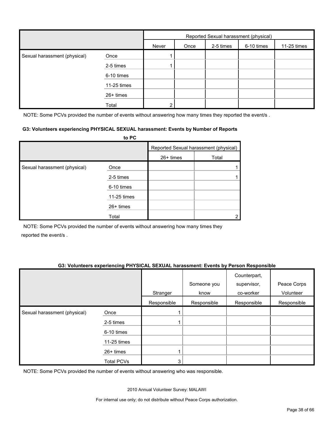|                              |             | Reported Sexual harassment (physical) |      |           |            |             |
|------------------------------|-------------|---------------------------------------|------|-----------|------------|-------------|
|                              |             | Never                                 | Once | 2-5 times | 6-10 times | 11-25 times |
| Sexual harassment (physical) | Once        |                                       |      |           |            |             |
|                              | 2-5 times   |                                       |      |           |            |             |
|                              | 6-10 times  |                                       |      |           |            |             |
|                              | 11-25 times |                                       |      |           |            |             |
|                              | 26+ times   |                                       |      |           |            |             |
|                              | Total       | ◠                                     |      |           |            |             |

NOTE: Some PCVs provided the number of events without answering how many times they reported the event/s.

#### **G3: Volunteers experiencing PHYSICAL SEXUAL harassment: Events by Number of Reports**

|                              | to PC       |           |                                       |
|------------------------------|-------------|-----------|---------------------------------------|
|                              |             |           | Reported Sexual harassment (physical) |
|                              |             | 26+ times | Total                                 |
| Sexual harassment (physical) | Once        |           |                                       |
|                              | 2-5 times   |           |                                       |
|                              | 6-10 times  |           |                                       |
|                              | 11-25 times |           |                                       |
|                              | $26+$ times |           |                                       |
|                              | Total       |           |                                       |

NOTE: Some PCVs provided the number of events without answering how many times they reported the event/s .

#### **G3: Volunteers experiencing PHYSICAL SEXUAL harassment: Events by Person Responsible**

|                              |                   | Stranger    | Someone you<br>know | Counterpart,<br>supervisor,<br>co-worker | Peace Corps<br>Volunteer |
|------------------------------|-------------------|-------------|---------------------|------------------------------------------|--------------------------|
|                              |                   | Responsible | Responsible         | Responsible                              | Responsible              |
| Sexual harassment (physical) | Once              |             |                     |                                          |                          |
|                              | 2-5 times         |             |                     |                                          |                          |
|                              | 6-10 times        |             |                     |                                          |                          |
|                              | 11-25 times       |             |                     |                                          |                          |
|                              | 26+ times         |             |                     |                                          |                          |
|                              | <b>Total PCVs</b> | 3           |                     |                                          |                          |

NOTE: Some PCVs provided the number of events without answering who was responsible.

2010 Annual Volunteer Survey: MALAWI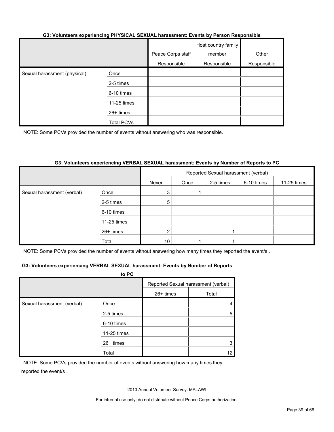#### **G3: Volunteers experiencing PHYSICAL SEXUAL harassment: Events by Person Responsible**

|                              |                   | Peace Corps staff | Host country family<br>member | Other       |
|------------------------------|-------------------|-------------------|-------------------------------|-------------|
|                              |                   | Responsible       | Responsible                   | Responsible |
| Sexual harassment (physical) | Once              |                   |                               |             |
|                              | 2-5 times         |                   |                               |             |
|                              | 6-10 times        |                   |                               |             |
|                              | 11-25 times       |                   |                               |             |
|                              | 26+ times         |                   |                               |             |
|                              | <b>Total PCVs</b> |                   |                               |             |

NOTE: Some PCVs provided the number of events without answering who was responsible.

#### **G3: Volunteers experiencing VERBAL SEXUAL harassment: Events by Number of Reports to PC**

|                            |             | Reported Sexual harassment (verbal) |      |           |            |             |
|----------------------------|-------------|-------------------------------------|------|-----------|------------|-------------|
|                            |             | Never                               | Once | 2-5 times | 6-10 times | 11-25 times |
| Sexual harassment (verbal) | Once        | 3                                   |      |           |            |             |
|                            | 2-5 times   | 5 <sup>1</sup>                      |      |           |            |             |
|                            | 6-10 times  |                                     |      |           |            |             |
|                            | 11-25 times |                                     |      |           |            |             |
|                            | 26+ times   | $\overline{2}$                      |      |           |            |             |
|                            | Total       | 10 <sup>°</sup>                     |      |           |            |             |

NOTE: Some PCVs provided the number of events without answering how many times they reported the event/s.

#### **G3: Volunteers experiencing VERBAL SEXUAL harassment: Events by Number of Reports**

|                            | to PC       |           |                                     |
|----------------------------|-------------|-----------|-------------------------------------|
|                            |             |           | Reported Sexual harassment (verbal) |
|                            |             | 26+ times | Total                               |
| Sexual harassment (verbal) | Once        |           |                                     |
|                            | 2-5 times   |           | 5                                   |
|                            | 6-10 times  |           |                                     |
|                            | 11-25 times |           |                                     |
|                            | 26+ times   |           | 3                                   |
|                            | Total       |           | 12                                  |

NOTE: Some PCVs provided the number of events without answering how many times they reported the event/s .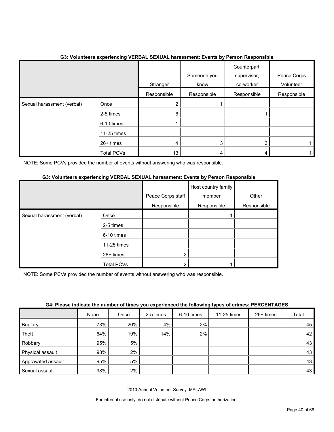|                            | $\tilde{\phantom{a}}$ | Stranger        | Someone you<br>know | Counterpart,<br>supervisor,<br>co-worker | Peace Corps<br>Volunteer |
|----------------------------|-----------------------|-----------------|---------------------|------------------------------------------|--------------------------|
|                            |                       | Responsible     | Responsible         | Responsible                              | Responsible              |
| Sexual harassment (verbal) | Once                  | $\overline{2}$  |                     |                                          |                          |
|                            | 2-5 times             | 6               |                     |                                          |                          |
|                            | 6-10 times            |                 |                     |                                          |                          |
|                            | 11-25 times           |                 |                     |                                          |                          |
|                            | $26+$ times           | 4               | 3                   | 3                                        |                          |
|                            | <b>Total PCVs</b>     | 13 <sub>1</sub> |                     |                                          |                          |

#### **G3: Volunteers experiencing VERBAL SEXUAL harassment: Events by Person Responsible**

NOTE: Some PCVs provided the number of events without answering who was responsible.

#### **G3: Volunteers experiencing VERBAL SEXUAL harassment: Events by Person Responsible**

|                            |             | Peace Corps staff | Host country family<br>member | Other       |
|----------------------------|-------------|-------------------|-------------------------------|-------------|
|                            |             | Responsible       | Responsible                   | Responsible |
| Sexual harassment (verbal) | Once        |                   |                               |             |
|                            | 2-5 times   |                   |                               |             |
|                            | 6-10 times  |                   |                               |             |
|                            | 11-25 times |                   |                               |             |
|                            | 26+ times   | $\overline{2}$    |                               |             |
|                            | Total PCVs  | 2                 |                               |             |

NOTE: Some PCVs provided the number of events without answering who was responsible.

|  |  |  | G4: Please indicate the number of times you experienced the following types of crimes: PERCENTAGES |
|--|--|--|----------------------------------------------------------------------------------------------------|
|  |  |  |                                                                                                    |

|                    | None | Once | 2-5 times | 6-10 times | 11-25 times | 26+ times | Total |
|--------------------|------|------|-----------|------------|-------------|-----------|-------|
| <b>Buglary</b>     | 73%  | 20%  | 4%        | 2%         |             |           | 45    |
| Theft              | 64%  | 19%  | 14%       | 2%         |             |           | 42    |
| Robbery            | 95%  | 5%   |           |            |             |           | 43    |
| Physical assault   | 98%  | 2%   |           |            |             |           | 43    |
| Aggravated assault | 95%  | 5%   |           |            |             |           | 43    |
| Sexual assault     | 98%  | 2%   |           |            |             |           | 43    |

2010 Annual Volunteer Survey: MALAWI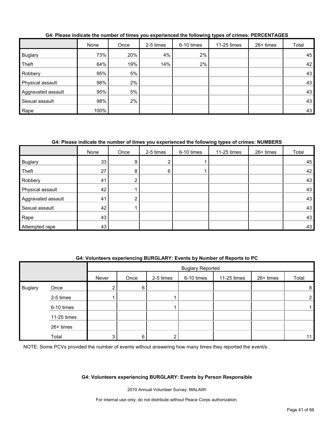|                    | None | Once | 2-5 times | 6-10 times | 11-25 times | $26+$ times | Total |
|--------------------|------|------|-----------|------------|-------------|-------------|-------|
| <b>Buglary</b>     | 73%  | 20%  | 4%        | 2%         |             |             | 45    |
| Theft              | 64%  | 19%  | 14%       | 2%         |             |             | 42    |
| Robbery            | 95%  | 5%   |           |            |             |             | 43    |
| Physical assault   | 98%  | 2%   |           |            |             |             | 43    |
| Aggravated assault | 95%  | 5%   |           |            |             |             | 43    |
| Sexual assault     | 98%  | 2%   |           |            |             |             | 43    |
| Rape               | 100% |      |           |            |             |             | 43    |

#### **G4: Please indicate the number of times you experienced the following types of crimes: PERCENTAGES**

#### **G4: Please indicate the number of times you experienced the following types of crimes: NUMBERS**

|                    | None | Once | 2-5 times | 6-10 times | 11-25 times | 26+ times | Total |
|--------------------|------|------|-----------|------------|-------------|-----------|-------|
| <b>Buglary</b>     | 33   | 9    |           |            |             |           | 45    |
| Theft              | 27   | 8    | 6         |            |             |           | 42    |
| Robbery            | 41   |      |           |            |             |           | 43    |
| Physical assault   | 42   |      |           |            |             |           | 43    |
| Aggravated assault | 41   | ◠    |           |            |             |           | 43    |
| Sexual assault     | 42   |      |           |            |             |           | 43    |
| Rape               | 43   |      |           |            |             |           | 43    |
| Attempted rape     | 43   |      |           |            |             |           | 43    |

#### **G4: Volunteers experiencing BURGLARY: Events by Number of Reports to PC**

|                |             |                 | <b>Buglary Reported</b> |           |            |             |           |       |
|----------------|-------------|-----------------|-------------------------|-----------|------------|-------------|-----------|-------|
|                |             | Never           | Once                    | 2-5 times | 6-10 times | 11-25 times | 26+ times | Total |
| <b>Buglary</b> | Once        | ົ<br>$\epsilon$ | 6                       |           |            |             |           | 8     |
|                | 2-5 times   |                 |                         |           |            |             |           | 2     |
|                | 6-10 times  |                 |                         |           |            |             |           |       |
|                | 11-25 times |                 |                         |           |            |             |           |       |
|                | 26+ times   |                 |                         |           |            |             |           |       |
|                | Total       | 3               | 6                       | ◠         |            |             |           | 11    |

NOTE: Some PCVs provided the number of events without answering how many times they reported the event/s.

#### **G4: Volunteers experiencing BURGLARY: Events by Person Responsible**

2010 Annual Volunteer Survey: MALAWI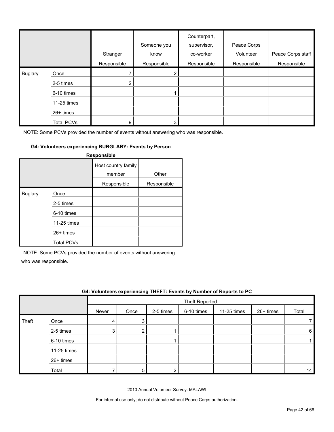|                |                   | Stranger       | Someone you<br>know | Counterpart,<br>supervisor,<br>co-worker | Peace Corps<br>Volunteer | Peace Corps staff |
|----------------|-------------------|----------------|---------------------|------------------------------------------|--------------------------|-------------------|
|                |                   | Responsible    | Responsible         | Responsible                              | Responsible              | Responsible       |
| <b>Buglary</b> | Once              |                | 2                   |                                          |                          |                   |
|                | 2-5 times         | $\overline{2}$ |                     |                                          |                          |                   |
|                | 6-10 times        |                |                     |                                          |                          |                   |
|                | 11-25 times       |                |                     |                                          |                          |                   |
|                | $26+$ times       |                |                     |                                          |                          |                   |
|                | <b>Total PCVs</b> | 9              | 3                   |                                          |                          |                   |

#### **G4: Volunteers experiencing BURGLARY: Events by Person**

| Responsible    |                   |                               |             |  |  |  |
|----------------|-------------------|-------------------------------|-------------|--|--|--|
|                |                   | Host country family<br>member | Other       |  |  |  |
|                |                   | Responsible                   | Responsible |  |  |  |
| <b>Buglary</b> | Once              |                               |             |  |  |  |
|                | 2-5 times         |                               |             |  |  |  |
|                | 6-10 times        |                               |             |  |  |  |
|                | 11-25 times       |                               |             |  |  |  |
|                | $26+$ times       |                               |             |  |  |  |
|                | <b>Total PCVs</b> |                               |             |  |  |  |

NOTE: Some PCVs provided the number of events without answering

who was responsible.

|       | G4: Volunteers experiencing THEFT: Events by Number of Reports to PC |       |      |           |                |             |             |       |  |  |
|-------|----------------------------------------------------------------------|-------|------|-----------|----------------|-------------|-------------|-------|--|--|
|       |                                                                      |       |      |           | Theft Reported |             |             |       |  |  |
|       |                                                                      | Never | Once | 2-5 times | 6-10 times     | 11-25 times | $26+$ times | Total |  |  |
| Theft | Once                                                                 |       |      |           |                |             |             |       |  |  |
|       | 2-5 times                                                            | 3     | ົ    |           |                |             |             | 6     |  |  |
|       | 6-10 times                                                           |       |      |           |                |             |             |       |  |  |
|       | 11-25 times                                                          |       |      |           |                |             |             |       |  |  |
|       | $26+$ times                                                          |       |      |           |                |             |             |       |  |  |
|       | Total                                                                |       | 5    |           |                |             |             | 14    |  |  |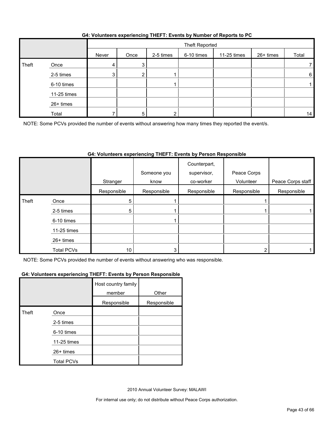| G4: Volunteers experiencing THEFT: Events by Number of Reports to PC |  |  |
|----------------------------------------------------------------------|--|--|
|                                                                      |  |  |

|       |             |       | Theft Reported |           |            |             |           |       |
|-------|-------------|-------|----------------|-----------|------------|-------------|-----------|-------|
|       |             | Never | Once           | 2-5 times | 6-10 times | 11-25 times | 26+ times | Total |
| Theft | Once        | 4     | 3              |           |            |             |           |       |
|       | 2-5 times   | 3     |                |           |            |             |           | 6     |
|       | 6-10 times  |       |                |           |            |             |           |       |
|       | 11-25 times |       |                |           |            |             |           |       |
|       | 26+ times   |       |                |           |            |             |           |       |
|       | Total       |       | 5              |           |            |             |           | 14    |

NOTE: Some PCVs provided the number of events without answering how many times they reported the event/s.

#### **G4: Volunteers experiencing THEFT: Events by Person Responsible**

|       |                   |             | Someone you | Counterpart,<br>supervisor, | Peace Corps |                   |
|-------|-------------------|-------------|-------------|-----------------------------|-------------|-------------------|
|       |                   | Stranger    | know        | co-worker                   | Volunteer   | Peace Corps staff |
|       |                   | Responsible | Responsible | Responsible                 | Responsible | Responsible       |
| Theft | Once              | 5.          |             |                             |             |                   |
|       | 2-5 times         | 5           |             |                             |             |                   |
|       | 6-10 times        |             |             |                             |             |                   |
|       | 11-25 times       |             |             |                             |             |                   |
|       | 26+ times         |             |             |                             |             |                   |
|       | <b>Total PCVs</b> | 10          |             |                             |             |                   |

NOTE: Some PCVs provided the number of events without answering who was responsible.

#### **G4: Volunteers experiencing THEFT: Events by Person Responsible**

|       |                   | Host country family<br>member | Other       |
|-------|-------------------|-------------------------------|-------------|
|       |                   | Responsible                   | Responsible |
| Theft | Once              |                               |             |
|       | 2-5 times         |                               |             |
|       | 6-10 times        |                               |             |
|       | 11-25 times       |                               |             |
|       | $26+$ times       |                               |             |
|       | <b>Total PCVs</b> |                               |             |

2010 Annual Volunteer Survey: MALAWI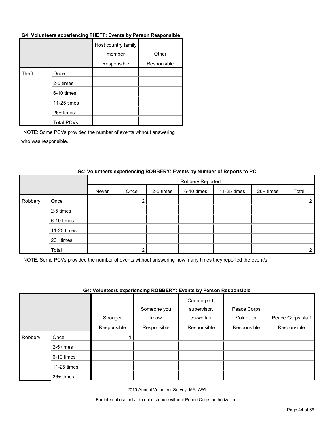#### **G4: Volunteers experiencing THEFT: Events by Person Responsible**

|       |                   | Host country family<br>member | Other       |
|-------|-------------------|-------------------------------|-------------|
|       |                   | Responsible                   | Responsible |
| Theft | Once              |                               |             |
|       | 2-5 times         |                               |             |
|       | 6-10 times        |                               |             |
|       | 11-25 times       |                               |             |
|       | 26+ times         |                               |             |
|       | <b>Total PCVs</b> |                               |             |

NOTE: Some PCVs provided the number of events without answering who was responsible.

|         |             |       | Robbery Reported |           |            |             |           |                |  |  |
|---------|-------------|-------|------------------|-----------|------------|-------------|-----------|----------------|--|--|
|         |             | Never | Once             | 2-5 times | 6-10 times | 11-25 times | 26+ times | Total          |  |  |
| Robbery | Once        |       | ◠                |           |            |             |           | $2 \,$         |  |  |
|         | 2-5 times   |       |                  |           |            |             |           |                |  |  |
|         | 6-10 times  |       |                  |           |            |             |           |                |  |  |
|         | 11-25 times |       |                  |           |            |             |           |                |  |  |
|         | 26+ times   |       |                  |           |            |             |           |                |  |  |
|         | Total       |       | ◠                |           |            |             |           | 2 <sub>1</sub> |  |  |

#### **G4: Volunteers experiencing ROBBERY: Events by Number of Reports to PC**

NOTE: Some PCVs provided the number of events without answering how many times they reported the event/s.

#### **G4: Volunteers experiencing ROBBERY: Events by Person Responsible**

|         |             | Stranger    | Someone you<br>know | Counterpart,<br>supervisor,<br>co-worker | Peace Corps<br>Volunteer | Peace Corps staff |
|---------|-------------|-------------|---------------------|------------------------------------------|--------------------------|-------------------|
|         |             | Responsible | Responsible         | Responsible                              | Responsible              | Responsible       |
| Robbery | Once        |             |                     |                                          |                          |                   |
|         | 2-5 times   |             |                     |                                          |                          |                   |
|         | 6-10 times  |             |                     |                                          |                          |                   |
|         | 11-25 times |             |                     |                                          |                          |                   |
|         | $26+$ times |             |                     |                                          |                          |                   |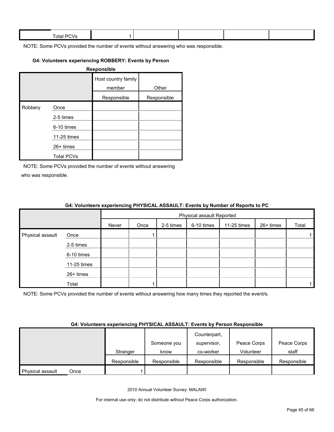| Total.<br>. .<br>$\cdot$ |  |  |  |
|--------------------------|--|--|--|
|                          |  |  |  |

#### **G4: Volunteers experiencing ROBBERY: Events by Person**

| <b>Responsible</b> |                   |                               |             |  |  |  |  |
|--------------------|-------------------|-------------------------------|-------------|--|--|--|--|
|                    |                   | Host country family<br>member | Other       |  |  |  |  |
|                    |                   | Responsible                   | Responsible |  |  |  |  |
| Robbery            | Once              |                               |             |  |  |  |  |
|                    | 2-5 times         |                               |             |  |  |  |  |
|                    | 6-10 times        |                               |             |  |  |  |  |
|                    | 11-25 times       |                               |             |  |  |  |  |
|                    | $26+$ times       |                               |             |  |  |  |  |
|                    | <b>Total PCVs</b> |                               |             |  |  |  |  |

NOTE: Some PCVs provided the number of events without answering who was responsible.

|                  |             | <b>Offer the common order of the common contract of the common of the contract of the contract of the contract of </b> |                           |           |            |             |           |       |  |
|------------------|-------------|------------------------------------------------------------------------------------------------------------------------|---------------------------|-----------|------------|-------------|-----------|-------|--|
|                  |             |                                                                                                                        | Physical assault Reported |           |            |             |           |       |  |
|                  |             | Never                                                                                                                  | Once                      | 2-5 times | 6-10 times | 11-25 times | 26+ times | Total |  |
| Physical assault | Once        |                                                                                                                        |                           |           |            |             |           |       |  |
|                  | 2-5 times   |                                                                                                                        |                           |           |            |             |           |       |  |
|                  | 6-10 times  |                                                                                                                        |                           |           |            |             |           |       |  |
|                  | 11-25 times |                                                                                                                        |                           |           |            |             |           |       |  |
|                  | 26+ times   |                                                                                                                        |                           |           |            |             |           |       |  |
|                  | Total       |                                                                                                                        |                           |           |            |             |           |       |  |

#### **G4: Volunteers experiencing PHYSICAL ASSAULT: Events by Number of Reports to PC**

NOTE: Some PCVs provided the number of events without answering how many times they reported the event/s.

#### **G4: Volunteers experiencing PHYSICAL ASSAULT: Events by Person Responsible**

|                  |      |             |             | Counterpart, |             |             |
|------------------|------|-------------|-------------|--------------|-------------|-------------|
|                  |      |             | Someone you | supervisor,  | Peace Corps | Peace Corps |
|                  |      | Stranger    | know        | co-worker    | Volunteer   | staff       |
|                  |      | Responsible | Responsible | Responsible  | Responsible | Responsible |
| Physical assault | Once |             |             |              |             |             |

2010 Annual Volunteer Survey: MALAWI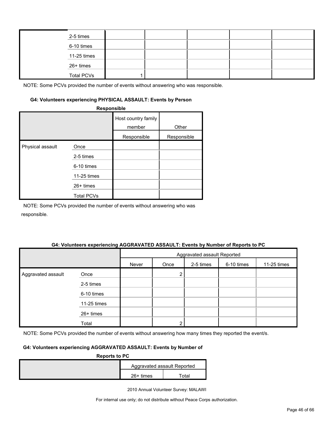| 2-5 times         |  |  |  |
|-------------------|--|--|--|
| 6-10 times        |  |  |  |
| 11-25 times       |  |  |  |
| 26+ times         |  |  |  |
| <b>Total PCVs</b> |  |  |  |

#### **G4: Volunteers experiencing PHYSICAL ASSAULT: Events by Person**

| <b>Responsible</b> |                                                                                    |                                              |                      |  |  |  |  |
|--------------------|------------------------------------------------------------------------------------|----------------------------------------------|----------------------|--|--|--|--|
|                    |                                                                                    | Host country family<br>member<br>Responsible | Other<br>Responsible |  |  |  |  |
| Physical assault   | Once<br>2-5 times<br>6-10 times<br>11-25 times<br>$26+$ times<br><b>Total PCVs</b> |                                              |                      |  |  |  |  |

NOTE: Some PCVs provided the number of events without answering who was responsible.

#### **G4: Volunteers experiencing AGGRAVATED ASSAULT: Events by Number of Reports to PC**

|                    |             | Aggravated assault Reported |      |           |            |             |  |  |
|--------------------|-------------|-----------------------------|------|-----------|------------|-------------|--|--|
|                    |             | Never                       | Once | 2-5 times | 6-10 times | 11-25 times |  |  |
| Aggravated assault | Once        |                             | っ    |           |            |             |  |  |
|                    | 2-5 times   |                             |      |           |            |             |  |  |
|                    | 6-10 times  |                             |      |           |            |             |  |  |
|                    | 11-25 times |                             |      |           |            |             |  |  |
|                    | 26+ times   |                             |      |           |            |             |  |  |
|                    | Total       |                             | ◠    |           |            |             |  |  |

NOTE: Some PCVs provided the number of events without answering how many times they reported the event/s.

#### **G4: Volunteers experiencing AGGRAVATED ASSAULT: Events by Number of**

| <b>Reports to PC</b> |             |                             |  |  |  |
|----------------------|-------------|-----------------------------|--|--|--|
|                      |             | Aggravated assault Reported |  |  |  |
|                      | $26+$ times | Гоtal                       |  |  |  |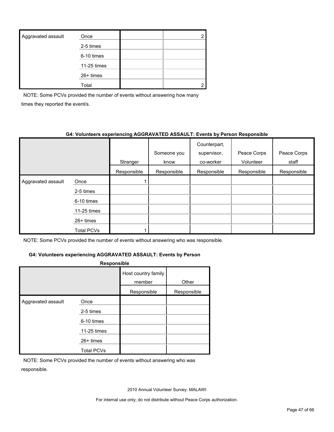| Aggravated assault | Once        |  |
|--------------------|-------------|--|
|                    | 2-5 times   |  |
|                    | 6-10 times  |  |
|                    | 11-25 times |  |
|                    | $26+$ times |  |
|                    | Total       |  |

NOTE: Some PCVs provided the number of events without answering how many times they reported the event/s.

#### **G4: Volunteers experiencing AGGRAVATED ASSAULT: Events by Person Responsible**

|                    |             | Stranger    | Someone you<br>know | Counterpart,<br>supervisor,<br>co-worker | Peace Corps<br>Volunteer | Peace Corps<br>staff |
|--------------------|-------------|-------------|---------------------|------------------------------------------|--------------------------|----------------------|
|                    |             | Responsible | Responsible         | Responsible                              | Responsible              | Responsible          |
| Aggravated assault | Once        |             |                     |                                          |                          |                      |
|                    | 2-5 times   |             |                     |                                          |                          |                      |
|                    | 6-10 times  |             |                     |                                          |                          |                      |
|                    | 11-25 times |             |                     |                                          |                          |                      |
|                    | $26+$ times |             |                     |                                          |                          |                      |
|                    | Total PCVs  |             |                     |                                          |                          |                      |

NOTE: Some PCVs provided the number of events without answering who was responsible.

#### **G4: Volunteers experiencing AGGRAVATED ASSAULT: Events by Person**

| <b>Responsible</b> |                                 |                               |             |  |  |  |
|--------------------|---------------------------------|-------------------------------|-------------|--|--|--|
|                    |                                 | Host country family<br>member | Other       |  |  |  |
|                    |                                 | Responsible                   | Responsible |  |  |  |
| Aggravated assault | Once<br>2-5 times<br>6-10 times |                               |             |  |  |  |
|                    | 11-25 times                     |                               |             |  |  |  |
|                    | $26+$ times                     |                               |             |  |  |  |
|                    | <b>Total PCVs</b>               |                               |             |  |  |  |

NOTE: Some PCVs provided the number of events without answering who was responsible.

2010 Annual Volunteer Survey: MALAWI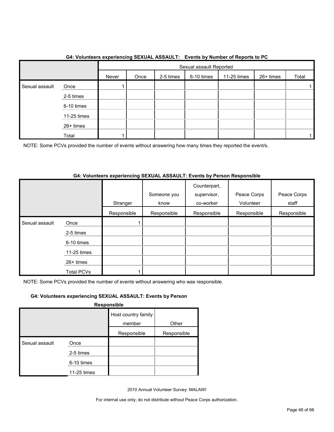|                |             |       | Sexual assault Reported |           |            |             |           |       |  |
|----------------|-------------|-------|-------------------------|-----------|------------|-------------|-----------|-------|--|
|                |             | Never | Once                    | 2-5 times | 6-10 times | 11-25 times | 26+ times | Total |  |
| Sexual assault | Once        |       |                         |           |            |             |           |       |  |
|                | 2-5 times   |       |                         |           |            |             |           |       |  |
|                | 6-10 times  |       |                         |           |            |             |           |       |  |
|                | 11-25 times |       |                         |           |            |             |           |       |  |
|                | 26+ times   |       |                         |           |            |             |           |       |  |
|                | Total       |       |                         |           |            |             |           |       |  |

#### **G4: Volunteers experiencing SEXUAL ASSAULT: Events by Number of Reports to PC**

NOTE: Some PCVs provided the number of events without answering how many times they reported the event/s.

#### **G4: Volunteers experiencing SEXUAL ASSAULT: Events by Person Responsible**

|                |                   | Stranger    | Someone you<br>know | Counterpart,<br>supervisor,<br>co-worker | Peace Corps<br>Volunteer | Peace Corps<br>staff |
|----------------|-------------------|-------------|---------------------|------------------------------------------|--------------------------|----------------------|
|                |                   | Responsible | Responsible         | Responsible                              | Responsible              | Responsible          |
| Sexual assault | Once              |             |                     |                                          |                          |                      |
|                | 2-5 times         |             |                     |                                          |                          |                      |
|                | 6-10 times        |             |                     |                                          |                          |                      |
|                | 11-25 times       |             |                     |                                          |                          |                      |
|                | $26+$ times       |             |                     |                                          |                          |                      |
|                | <b>Total PCVs</b> |             |                     |                                          |                          |                      |

NOTE: Some PCVs provided the number of events without answering who was responsible.

#### **G4: Volunteers experiencing SEXUAL ASSAULT: Events by Person**

**Responsible**

|                |             | Host country family |             |
|----------------|-------------|---------------------|-------------|
|                |             | member              | Other       |
|                |             | Responsible         | Responsible |
| Sexual assault | Once        |                     |             |
|                | 2-5 times   |                     |             |
|                | 6-10 times  |                     |             |
|                | 11-25 times |                     |             |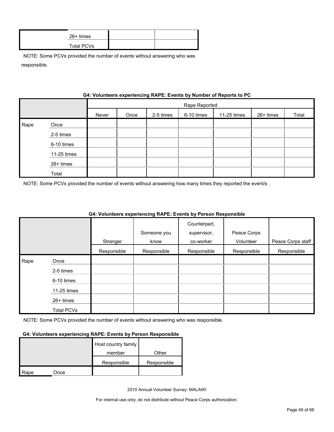| $26+$ times |  |
|-------------|--|
| Total PCVs  |  |

|      | G4: VOIUNTEER'S EXPERIENCING RAPE: EVENTS by NUMBER OF REPORTS TO PU |       |               |           |            |             |           |       |  |  |
|------|----------------------------------------------------------------------|-------|---------------|-----------|------------|-------------|-----------|-------|--|--|
|      |                                                                      |       | Rape Reported |           |            |             |           |       |  |  |
|      |                                                                      | Never | Once          | 2-5 times | 6-10 times | 11-25 times | 26+ times | Total |  |  |
| Rape | Once                                                                 |       |               |           |            |             |           |       |  |  |
|      | 2-5 times                                                            |       |               |           |            |             |           |       |  |  |
|      | 6-10 times                                                           |       |               |           |            |             |           |       |  |  |
|      | 11-25 times                                                          |       |               |           |            |             |           |       |  |  |
|      | 26+ times                                                            |       |               |           |            |             |           |       |  |  |
|      | Total                                                                |       |               |           |            |             |           |       |  |  |

### **Gynorionaing DADE: Events by Number of Bang**

NOTE: Some PCVs provided the number of events without answering how many times they reported the event/s .

|      |                   |             |             | Counterpart, |             |                   |
|------|-------------------|-------------|-------------|--------------|-------------|-------------------|
|      |                   |             | Someone you | supervisor,  | Peace Corps |                   |
|      |                   | Stranger    | know        | co-worker    | Volunteer   | Peace Corps staff |
|      |                   | Responsible | Responsible | Responsible  | Responsible | Responsible       |
| Rape | Once              |             |             |              |             |                   |
|      | 2-5 times         |             |             |              |             |                   |
|      | 6-10 times        |             |             |              |             |                   |
|      | 11-25 times       |             |             |              |             |                   |
|      | $26+$ times       |             |             |              |             |                   |
|      | <b>Total PCVs</b> |             |             |              |             |                   |

#### **G4: Volunteers experiencing RAPE: Events by Person Responsible**

NOTE: Some PCVs provided the number of events without answering who was responsible.

#### **G4: Volunteers experiencing RAPE: Events by Person Responsible**

|      |      | Host country family |             |
|------|------|---------------------|-------------|
|      |      | member              | Other       |
|      |      | Responsible         | Responsible |
| Rape | Once |                     |             |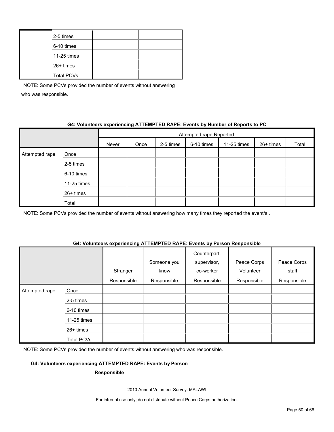| 2-5 times         |  |
|-------------------|--|
| 6-10 times        |  |
| 11-25 times       |  |
| 26+ times         |  |
| <b>Total PCVs</b> |  |

#### **G4: Volunteers experiencing ATTEMPTED RAPE: Events by Number of Reports to PC**

|                |             | Attempted rape Reported |      |           |            |             |           |       |
|----------------|-------------|-------------------------|------|-----------|------------|-------------|-----------|-------|
|                |             | Never                   | Once | 2-5 times | 6-10 times | 11-25 times | 26+ times | Total |
| Attempted rape | Once        |                         |      |           |            |             |           |       |
|                | 2-5 times   |                         |      |           |            |             |           |       |
|                | 6-10 times  |                         |      |           |            |             |           |       |
|                | 11-25 times |                         |      |           |            |             |           |       |
|                | 26+ times   |                         |      |           |            |             |           |       |
|                | Total       |                         |      |           |            |             |           |       |

NOTE: Some PCVs provided the number of events without answering how many times they reported the event/s.

#### **G4: Volunteers experiencing ATTEMPTED RAPE: Events by Person Responsible**

|                |                   | Stranger    | Someone you<br>know | Counterpart,<br>supervisor,<br>co-worker | Peace Corps<br>Volunteer | Peace Corps<br>staff |
|----------------|-------------------|-------------|---------------------|------------------------------------------|--------------------------|----------------------|
|                |                   | Responsible | Responsible         | Responsible                              | Responsible              | Responsible          |
| Attempted rape | Once              |             |                     |                                          |                          |                      |
|                | 2-5 times         |             |                     |                                          |                          |                      |
|                | 6-10 times        |             |                     |                                          |                          |                      |
|                | 11-25 times       |             |                     |                                          |                          |                      |
|                | 26+ times         |             |                     |                                          |                          |                      |
|                | <b>Total PCVs</b> |             |                     |                                          |                          |                      |

NOTE: Some PCVs provided the number of events without answering who was responsible.

#### **G4: Volunteers experiencing ATTEMPTED RAPE: Events by Person**

#### **Responsible**

2010 Annual Volunteer Survey: MALAWI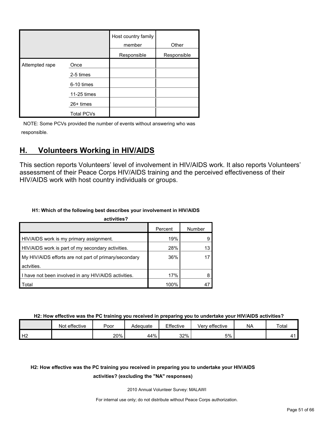|                |                   | Host country family<br>member | Other       |
|----------------|-------------------|-------------------------------|-------------|
|                |                   | Responsible                   | Responsible |
| Attempted rape | Once              |                               |             |
|                | 2-5 times         |                               |             |
|                | 6-10 times        |                               |             |
|                | 11-25 times       |                               |             |
|                | $26+$ times       |                               |             |
|                | <b>Total PCVs</b> |                               |             |

### <span id="page-50-0"></span>**H. Volunteers Working in HIV/AIDS**

This section reports Volunteers' level of involvement in HIV/AIDS work. It also reports Volunteers' assessment of their Peace Corps HIV/AIDS training and the perceived effectiveness of their HIV/AIDS work with host country individuals or groups.

#### **H1: Which of the following best describes your involvement in HIV/AIDS**

| activities?                                           |         |        |
|-------------------------------------------------------|---------|--------|
|                                                       | Percent | Number |
| HIV/AIDS work is my primary assignment.               | 19%     |        |
| HIV/AIDS work is part of my secondary activities.     | 28%     | 13     |
| My HIV/AIDS efforts are not part of primary/secondary | 36%     |        |
| actvities.                                            |         |        |
| I have not been involved in any HIV/AIDS activities.  | 17%     |        |
| Total                                                 | 100%    |        |

**H2: How effective was the PC training you received in preparing you to undertake your HIV/AIDS activities?**

|                | Not effective | Poor | Adequate | Effective | Very effective | <b>NA</b> | Total |
|----------------|---------------|------|----------|-----------|----------------|-----------|-------|
| H <sub>2</sub> |               | 20%  | 44%      | 32%       | 5%             |           |       |

### **H2: How effective was the PC training you received in preparing you to undertake your HIV/AIDS**

#### **activities? (excluding the "NA" responses)**

2010 Annual Volunteer Survey: MALAWI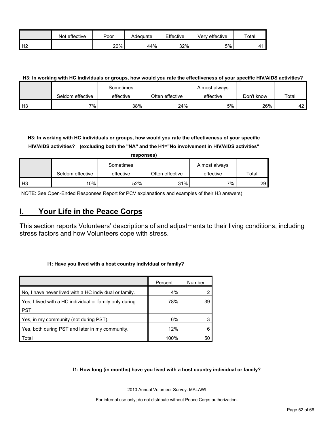|                | effective<br>Not | Poor | Adequate | Effective | Very effective | $\tau$ otar |
|----------------|------------------|------|----------|-----------|----------------|-------------|
| H <sub>2</sub> |                  | 20%  | 44%      | 32%       | 5%             |             |

#### **H3: In working with HC individuals or groups, how would you rate the effectiveness of your specific HIV/AIDS activities?**

|               |                  | Sometimes |                 | Almost always |            |                 |
|---------------|------------------|-----------|-----------------|---------------|------------|-----------------|
|               | Seldom effective | effective | Often effective | effective     | Don't know | Total           |
| $\mathsf{H}3$ | 7%.              | 38%       | 24%             | 5%            | 26%        | 42 <sup>7</sup> |

**H3: In working with HC individuals or groups, how would you rate the effectiveness of your specific HIV/AIDS activities? (excluding both the "NA" and the H1="No involvement in HIV/AIDS activities"** 

|      | responses)       |           |                 |               |       |  |  |  |  |
|------|------------------|-----------|-----------------|---------------|-------|--|--|--|--|
|      |                  | Sometimes |                 | Almost always |       |  |  |  |  |
|      | Seldom effective | effective | Often effective | effective     | Total |  |  |  |  |
| l H3 | 10%              | 52%       | 31%             | 7%            | 29    |  |  |  |  |

NOTE: See Open-Ended Responses Report for PCV explanations and examples of their H3 answers)

### <span id="page-51-0"></span>**I. Your Life in the Peace Corps**

This section reports Volunteers' descriptions of and adjustments to their living conditions, including stress factors and how Volunteers cope with stress.

#### **I1: Have you lived with a host country individual or family?**

|                                                         | Percent | Number |
|---------------------------------------------------------|---------|--------|
| No, I have never lived with a HC individual or family.  | 4%      |        |
| Yes, I lived with a HC individual or family only during | 78%     | 39     |
| PST.                                                    |         |        |
| Yes, in my community (not during PST).                  | 6%      |        |
| Yes, both during PST and later in my community.         | 12%     |        |
| Total                                                   | 100%    | 50     |

#### **I1: How long (in months) have you lived with a host country individual or family?**

2010 Annual Volunteer Survey: MALAWI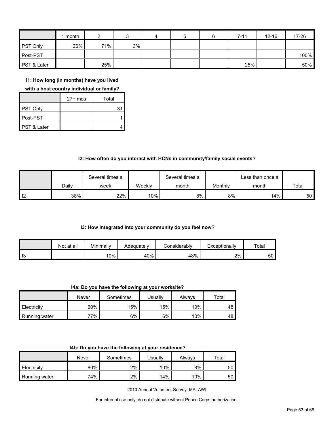|                 | month |     |    | 4 | 5 | $7 - 11$ | $12 - 16$ | 17-26 |
|-----------------|-------|-----|----|---|---|----------|-----------|-------|
| <b>PST Only</b> | 26%   | 71% | 3% |   |   |          |           |       |
| Post-PST        |       |     |    |   |   |          |           | 100%  |
| PST & Later     |       | 25% |    |   |   | 25%      |           | 50%   |

**I1: How long (in months) have you lived** 

#### **with a host country individual or family?**

|             | $27+$ mos | Total |
|-------------|-----------|-------|
| PST Only    |           | 31    |
| Post-PST    |           |       |
| PST & Later |           |       |

#### **I2: How often do you interact with HCNs in community/family social events?**

|                |       | Several times a | Several times a |       |         | Less than once a |       |
|----------------|-------|-----------------|-----------------|-------|---------|------------------|-------|
|                | Dailv | week            | Weeklv          | month | Monthly | month            | Total |
| $\overline{2}$ | 38%   | 22%             | 10%             | 8%    | 8%      | 14%              | 50    |

#### **I3: How integrated into your community do you feel now?**

|    | Not at all | Minimally | Adeauatelv | Considerabl∨ | Exceptionally | Total |
|----|------------|-----------|------------|--------------|---------------|-------|
| 13 |            | 10%       | 40%        | 48%          | 2%            | 50    |

**I4a: Do you have the following at your worksite?**

|                      | Never | Sometimes | Jsuallv | Always | Total |
|----------------------|-------|-----------|---------|--------|-------|
| Electricity          | 60%   | 15%       | 15%     | $10\%$ | 48 I  |
| <b>Running water</b> | 77%   | 6%        | 6%      | $10\%$ | 48 I  |

|  |  |  |  |  |  | 14b: Do you have the following at your residence? |
|--|--|--|--|--|--|---------------------------------------------------|
|--|--|--|--|--|--|---------------------------------------------------|

|                      | Never | Sometimes | Usuallv | Always | ⊤otal |
|----------------------|-------|-----------|---------|--------|-------|
| Electricity          | 80%   | $2\%$     | $10\%$  | 8%     | 50    |
| <b>Running water</b> | 74%   | 2%        | 14%     | $10\%$ | 50    |

2010 Annual Volunteer Survey: MALAWI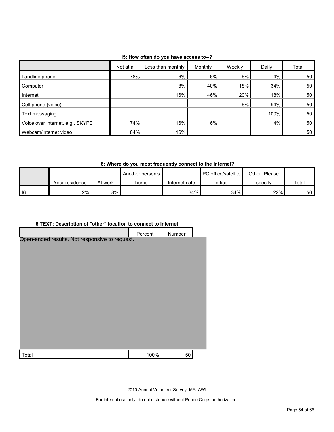| 15: How often do you have access to--? |  |
|----------------------------------------|--|
|----------------------------------------|--|

|                                  | Not at all | Less than monthly | Monthly | Weekly | Daily | Total |  |  |  |
|----------------------------------|------------|-------------------|---------|--------|-------|-------|--|--|--|
| Landline phone                   | 78%        | 6%                | 6%      | 6%     | 4%    | 50    |  |  |  |
| Computer                         |            | 8%                | 40%     | 18%    | 34%   | 50    |  |  |  |
| Internet                         |            | 16%               | 46%     | 20%    | 18%   | 50    |  |  |  |
| Cell phone (voice)               |            |                   |         | 6%     | 94%   | 50    |  |  |  |
| Text messaging                   |            |                   |         |        | 100%  | 50    |  |  |  |
| Voice over internet, e.g., SKYPE | 74%        | 16%               | 6%      |        | 4%    | 50    |  |  |  |
| Webcam/internet video            | 84%        | 16%               |         |        |       | 50    |  |  |  |

**I6: Where do you most frequently connect to the Internet?**

|        |                |         | Another person's |               | PC office/satellite | Other: Please |       |
|--------|----------------|---------|------------------|---------------|---------------------|---------------|-------|
|        | Your residence | At work | home             | Internet cafe | office              | specify       | Total |
| $ $ 16 | 2%             | 8%      |                  | 34%           | 34%                 | 22%           | 50 I  |

#### **I6.TEXT: Description of "other" location to connect to Internet**

|                                                | Percent | Number |  |
|------------------------------------------------|---------|--------|--|
| Open-ended results. Not responsive to request. |         |        |  |
|                                                |         |        |  |
|                                                |         |        |  |
|                                                |         |        |  |
|                                                |         |        |  |
|                                                |         |        |  |
|                                                |         |        |  |
|                                                |         |        |  |
|                                                |         |        |  |
|                                                |         |        |  |
|                                                |         |        |  |
|                                                | 100%    |        |  |
| Total                                          |         | 50     |  |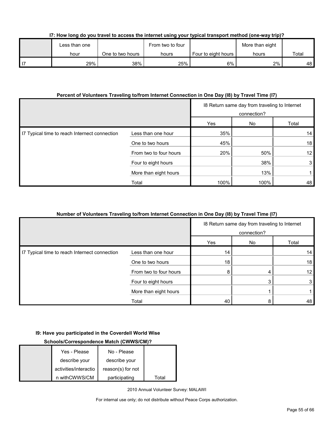| I7: How long do you travel to access the internet using your typical transport method (one-way trip)? |  |  |  |
|-------------------------------------------------------------------------------------------------------|--|--|--|
|                                                                                                       |  |  |  |

| Less than one |                  | From two to four |                       | More than eight |       |
|---------------|------------------|------------------|-----------------------|-----------------|-------|
| hour          | One to two hours | hours            | Four to eight hours I | hours           | Total |
| 29%           | 38%              | 25%              | 6%                    | 2%              | 48    |

#### **Percent of Volunteers Traveling to/from Internet Connection in One Day (I8) by Travel Time (I7)**

|                                               |                        |      | 18 Return same day from traveling to Internet<br>connection? |                 |
|-----------------------------------------------|------------------------|------|--------------------------------------------------------------|-----------------|
|                                               |                        | Yes  | No                                                           | Total           |
| 17 Typical time to reach Internect connection | Less than one hour     | 35%  |                                                              | 14              |
|                                               | One to two hours       | 45%  |                                                              | 18              |
|                                               | From two to four hours | 20%  | 50%                                                          | 12 <sub>1</sub> |
|                                               | Four to eight hours    |      | 38%                                                          | 3               |
|                                               | More than eight hours  |      | 13%                                                          |                 |
|                                               | Total                  | 100% | 100%                                                         | 48              |

#### **Number of Volunteers Traveling to/from Internet Connection in One Day (I8) by Travel Time (I7)**

|                                               |                        |     | 18 Return same day from traveling to Internet<br>connection? |       |
|-----------------------------------------------|------------------------|-----|--------------------------------------------------------------|-------|
|                                               |                        | Yes | No                                                           | Total |
| I7 Typical time to reach Internect connection | Less than one hour     | 14  |                                                              | 14    |
|                                               | One to two hours       | 18  |                                                              | 18    |
|                                               | From two to four hours | 8   |                                                              | 12    |
|                                               | Four to eight hours    |     | 3                                                            | 3     |
|                                               | More than eight hours  |     |                                                              |       |
|                                               | Total                  | 40  | Զ                                                            | 48    |

#### **I9: Have you participated in the Coverdell World Wise**

#### **Schools/Correspondence Match (CWWS/CM)?**

| Yes - Please          | No - Please       |       |
|-----------------------|-------------------|-------|
| describe your         | describe your     |       |
| activities/interactio | reason(s) for not |       |
| n withCWWS/CM         | participating     | Total |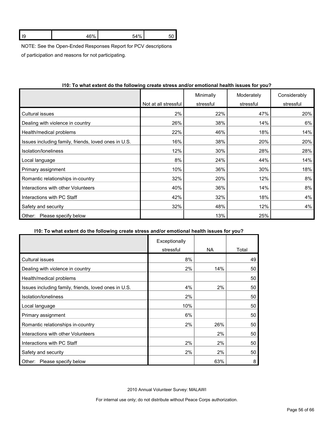| $\sim$ |  |
|--------|--|
|        |  |

NOTE: See the Open-Ended Responses Report for PCV descriptions

of participation and reasons for not participating.

|                                                      | Not at all stressful | Minimally<br>stressful | Moderately<br>stressful | Considerably<br>stressful |
|------------------------------------------------------|----------------------|------------------------|-------------------------|---------------------------|
| <b>Cultural issues</b>                               | 2%                   | 22%                    | 47%                     | 20%                       |
|                                                      |                      |                        |                         |                           |
| Dealing with violence in country                     | 26%                  | 38%                    | 14%                     | 6%                        |
| Health/medical problems                              | 22%                  | 46%                    | 18%                     | 14%                       |
| Issues including family, friends, loved ones in U.S. | 16%                  | 38%                    | 20%                     | 20%                       |
| Isolation/loneliness                                 | 12%                  | 30%                    | 28%                     | 28%                       |
| Local language                                       | 8%                   | 24%                    | 44%                     | 14%                       |
| Primary assignment                                   | 10%                  | 36%                    | 30%                     | 18%                       |
| Romantic relationships in-country                    | 32%                  | 20%                    | 12%                     | 8%                        |
| Interactions with other Volunteers                   | 40%                  | 36%                    | 14%                     | 8%                        |
| Interactions with PC Staff                           | 42%                  | 32%                    | 18%                     | 4%                        |
| Safety and security                                  | 32%                  | 48%                    | 12%                     | 4%                        |
| Please specify below<br>Other:                       |                      | 13%                    | 25%                     |                           |

#### **I10: To what extent do the following create stress and/or emotional health issues for you?**

#### **I10: To what extent do the following create stress and/or emotional health issues for you?**

|                                                      | Exceptionally |     |       |
|------------------------------------------------------|---------------|-----|-------|
|                                                      | stressful     | NA. | Total |
| <b>Cultural issues</b>                               | 8%            |     | 49    |
| Dealing with violence in country                     | 2%            | 14% | 50    |
| Health/medical problems                              |               |     | 50    |
| Issues including family, friends, loved ones in U.S. | 4%            | 2%  | 50    |
| Isolation/loneliness                                 | 2%            |     | 50    |
| Local language                                       | 10%           |     | 50    |
| Primary assignment                                   | 6%            |     | 50    |
| Romantic relationships in-country                    | 2%            | 26% | 50    |
| Interactions with other Volunteers                   |               | 2%  | 50    |
| Interactions with PC Staff                           | 2%            | 2%  | 50    |
| Safety and security                                  | 2%            | 2%  | 50    |
| Please specify below<br>Other:                       |               | 63% | 8     |

2010 Annual Volunteer Survey: MALAWI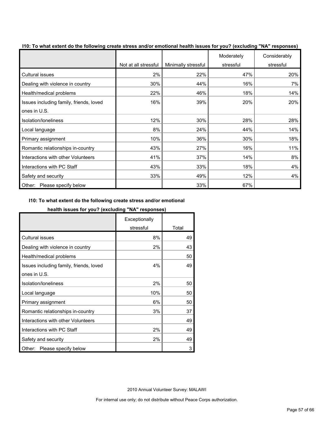| To must extent as the following create cubes | Not at all stressful | Minimally stressful | Moderately<br>stressful | Considerably<br>stressful |
|----------------------------------------------|----------------------|---------------------|-------------------------|---------------------------|
| <b>Cultural issues</b>                       | 2%                   | 22%                 | 47%                     | 20%                       |
| Dealing with violence in country             | 30%                  | 44%                 | 16%                     | 7%                        |
| Health/medical problems                      | 22%                  | 46%                 | 18%                     | 14%                       |
| Issues including family, friends, loved      | 16%                  | 39%                 | 20%                     | 20%                       |
| ones in U.S.                                 |                      |                     |                         |                           |
| Isolation/loneliness                         | 12%                  | 30%                 | 28%                     | 28%                       |
| Local language                               | 8%                   | 24%                 | 44%                     | 14%                       |
| Primary assignment                           | 10%                  | 36%                 | 30%                     | 18%                       |
| Romantic relationships in-country            | 43%                  | 27%                 | 16%                     | 11%                       |
| Interactions with other Volunteers           | 41%                  | 37%                 | 14%                     | 8%                        |
| Interactions with PC Staff                   | 43%                  | 33%                 | 18%                     | 4%                        |
| Safety and security                          | 33%                  | 49%                 | 12%                     | 4%                        |
| Other: Please specify below                  |                      | 33%                 | 67%                     |                           |

**I10: To what extent do the following create stress and/or emotional health issues for you? (excluding "NA" responses)**

#### **I10: To what extent do the following create stress and/or emotional**

#### **health issues for you? (excluding "NA" responses)**

|                                         | Exceptionally |       |
|-----------------------------------------|---------------|-------|
|                                         | stressful     | Total |
| <b>Cultural issues</b>                  | 8%            | 49    |
| Dealing with violence in country        | 2%            | 43    |
| Health/medical problems                 |               | 50    |
| Issues including family, friends, loved | 4%            | 49    |
| ones in U.S.                            |               |       |
| Isolation/loneliness                    | 2%            | 50    |
| Local language                          | 10%           | 50    |
| Primary assignment                      | 6%            | 50    |
| Romantic relationships in-country       | 3%            | 37    |
| Interactions with other Volunteers      |               | 49    |
| Interactions with PC Staff              | 2%            | 49    |
| Safety and security                     | 2%            | 49    |
| Please specify below<br>Other:          |               | 3     |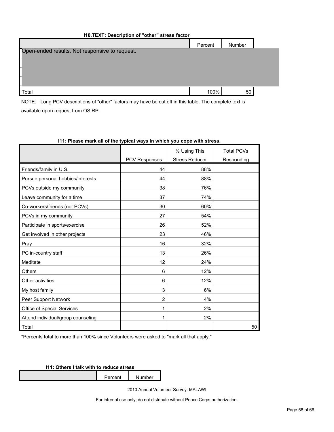| I10.TEXT: Description of "other" stress factor |         |        |  |  |
|------------------------------------------------|---------|--------|--|--|
|                                                | Percent | Number |  |  |
| Open-ended results. Not responsive to request. |         |        |  |  |
|                                                |         |        |  |  |
|                                                |         |        |  |  |
|                                                |         |        |  |  |
|                                                |         |        |  |  |
| Total                                          | 100%    | 50     |  |  |

NOTE: Long PCV descriptions of "other" factors may have be cut off in this table. The complete text is available upon request from OSIRP.

|                                    |                      | % Using This          | <b>Total PCVs</b> |
|------------------------------------|----------------------|-----------------------|-------------------|
|                                    | <b>PCV Responses</b> | <b>Stress Reducer</b> | Responding        |
| Friends/family in U.S.             | 44                   | 88%                   |                   |
| Pursue personal hobbies/interests  | 44                   | 88%                   |                   |
| PCVs outside my community          | 38                   | 76%                   |                   |
| Leave community for a time         | 37                   | 74%                   |                   |
| Co-workers/friends (not PCVs)      | 30                   | 60%                   |                   |
| PCVs in my community               | 27                   | 54%                   |                   |
| Participate in sports/exercise     | 26                   | 52%                   |                   |
| Get involved in other projects     | 23                   | 46%                   |                   |
| Pray                               | 16                   | 32%                   |                   |
| PC in-country staff                | 13                   | 26%                   |                   |
| Meditate                           | 12                   | 24%                   |                   |
| <b>Others</b>                      | 6                    | 12%                   |                   |
| Other activities                   | 6                    | 12%                   |                   |
| My host family                     | 3                    | 6%                    |                   |
| Peer Support Network               | $\overline{2}$       | 4%                    |                   |
| Office of Special Services         | 1                    | 2%                    |                   |
| Attend individual/group counseling | 1                    | 2%                    |                   |
| Total                              |                      |                       | 50                |

#### **I11: Please mark all of the typical ways in which you cope with stress.**

\*Percents total to more than 100% since Volunteers were asked to "mark all that apply."

**I11: Others I talk with to reduce stress**

Percent Number

2010 Annual Volunteer Survey: MALAWI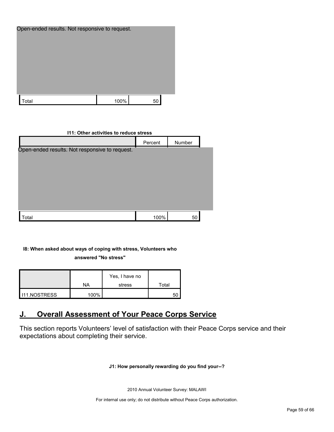| Open-ended results. Not responsive to request. |      |    |
|------------------------------------------------|------|----|
| Total                                          | 100% | 50 |

| 111: Other activities to reduce stress         |         |        |  |  |  |  |
|------------------------------------------------|---------|--------|--|--|--|--|
|                                                | Percent | Number |  |  |  |  |
| Open-ended results. Not responsive to request. |         |        |  |  |  |  |
|                                                |         |        |  |  |  |  |
|                                                |         |        |  |  |  |  |
|                                                |         |        |  |  |  |  |
|                                                |         |        |  |  |  |  |
|                                                |         |        |  |  |  |  |
|                                                |         |        |  |  |  |  |
| Total                                          | 100%    | 50     |  |  |  |  |

#### **I8: When asked about ways of coping with stress, Volunteers who**

**answered "No stress"** 

|                     |      | Yes, I have no |       |
|---------------------|------|----------------|-------|
|                     | NA   | stress         | Total |
| <b>I11.NOSTRESS</b> | 100% |                | 50    |

# <span id="page-58-0"></span>**J. Overall Assessment of Your Peace Corps Service**

This section reports Volunteers' level of satisfaction with their Peace Corps service and their expectations about completing their service.

#### **J1: How personally rewarding do you find your--?**

2010 Annual Volunteer Survey: MALAWI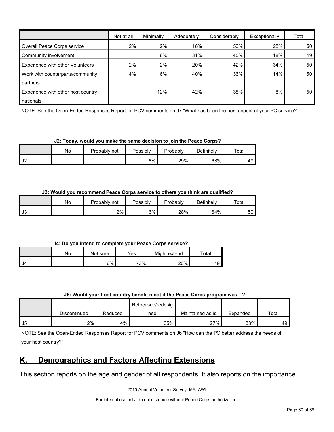|                                    | Not at all | Minimally | Adequately | Considerably | Exceptionally | Total |
|------------------------------------|------------|-----------|------------|--------------|---------------|-------|
| Overall Peace Corps service        | 2%         | 2%        | 18%        | 50%          | 28%           | 50    |
| Community involvement              |            | 6%        | 31%        | 45%          | 18%           | 49    |
| Experience with other Volunteers   | 2%         | 2%        | 20%        | 42%          | 34%           | 50    |
| Work with counterparts/community   | 4%         | 6%        | 40%        | 36%          | 14%           | 50    |
| partners                           |            |           |            |              |               |       |
| Experience with other host country |            | 12%       | 42%        | 38%          | 8%            | 50    |
| nationals                          |            |           |            |              |               |       |

NOTE: See the Open-Ended Responses Report for PCV comments on J7 "What has been the best aspect of your PC service?"

**J2: Today, would you make the same decision to join the Peace Corps?**

|                         | Νo | Probably<br>not | Possibly | Probably | <b>Definitely</b> | Total |
|-------------------------|----|-----------------|----------|----------|-------------------|-------|
| $\overline{10}$<br>∠∪ י |    |                 | 8%       | 29%      | 63%               | 49    |

**J3: Would you recommend Peace Corps service to others you think are qualified?**

|           | No | Probably not | Possibly | Probably | Definitely | Total |
|-----------|----|--------------|----------|----------|------------|-------|
| <b>J3</b> |    | 2%           | 6%       | 28%      | 64%        | 50 I  |

**J4: Do you intend to complete your Peace Corps service?**

|      | No | Not sure | Yes | Might extend | $\tau$ otal        |
|------|----|----------|-----|--------------|--------------------|
| I J4 |    | 6%       | 73% | 20%          | $\sim$<br>Δ.<br>ーこ |

| J5: Would your host country benefit most if the Peace Corps program was---? |  |
|-----------------------------------------------------------------------------|--|
|-----------------------------------------------------------------------------|--|

|    |              |         | Refocused/redesig |                  |          |       |
|----|--------------|---------|-------------------|------------------|----------|-------|
|    | Discontinued | Reduced | ned               | Maintained as is | Expanded | Total |
| J5 | 2%           | 4%      | 35%               | 27%              | 33%      | 49    |

NOTE: See the Open-Ended Responses Report for PCV comments on J6 "How can the PC better address the needs of your host country?"

### <span id="page-59-0"></span>**K. Demographics and Factors Affecting Extensions**

This section reports on the age and gender of all respondents. It also reports on the importance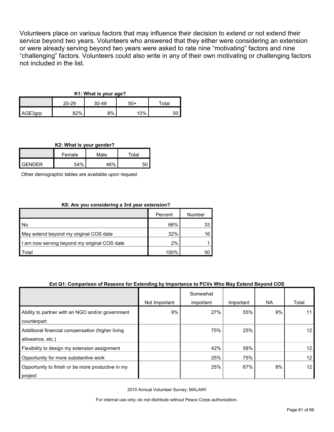Volunteers place on various factors that may influence their decision to extend or not extend their service beyond two years. Volunteers who answered that they either were considering an extension or were already serving beyond two years were asked to rate nine "motivating" factors and nine "challenging" factors. Volunteers could also write in any of their own motivating or challenging factors not included in the list.

#### **K1: What is your age?**

|         |       |       | -   |             |
|---------|-------|-------|-----|-------------|
|         | 20-29 | 30-49 | 50+ | $\tau$ otal |
| AGE3qrp | 82%   | 8%    | 10% | 50          |

#### **K2: What is your gender?**

|               | Female | Male | ™ota⊩ |  |
|---------------|--------|------|-------|--|
| <b>GENDER</b> | 54%    | 46%  |       |  |

Other demographic tables are available upon request

#### **K8: Are you considering a 3rd year extension?**

|                                              | Percent | Number |
|----------------------------------------------|---------|--------|
| , No                                         | 66%     | 33     |
| May extend beyond my original COS date       | 32%     | 16     |
| I am now serving beyond my original COS date | 2%      |        |
| Total                                        | 100%    | 50     |

#### **Ext Q1: Comparison of Reasons for Extending by Importance to PCVs Who May Extend Beyond COS**

|                                                                      |               | Somewhat  |           |     |                 |
|----------------------------------------------------------------------|---------------|-----------|-----------|-----|-----------------|
|                                                                      | Not Important | important | Important | NA. | Total           |
| Ability to partner with an NGO and/or government<br>counterpart      | 9%            | 27%       | 55%       | 9%  | 11              |
| Additional financial compensation (higher living<br>allowance, etc.) |               | 75%       | 25%       |     | 12 <sub>1</sub> |
| Flexibility to design my extension assignment                        |               | 42%       | 58%       |     | 12 <sup>°</sup> |
| Opportunity for more substantive work                                |               | 25%       | 75%       |     | 12 <sup>2</sup> |
| Opportunity to finish or be more productive in my                    |               | 25%       | 67%       | 8%  | 12 <sub>1</sub> |
| project                                                              |               |           |           |     |                 |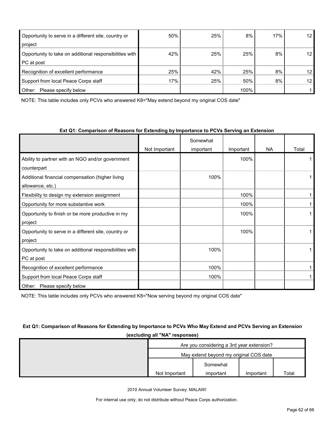| Opportunity to serve in a different site, country or<br>project | 50% | 25% | 8%   | 17% | 12 <sub>1</sub> |
|-----------------------------------------------------------------|-----|-----|------|-----|-----------------|
|                                                                 |     |     |      |     |                 |
| Opportunity to take on additional responsibilities with         | 42% | 25% | 25%  | 8%  | 12 <sub>1</sub> |
| PC at post                                                      |     |     |      |     |                 |
| Recognition of excellent performance                            | 25% | 42% | 25%  | 8%  | 12 <sub>1</sub> |
| Support from local Peace Corps staff                            | 17% | 25% | 50%  | 8%  | 12 <sup>2</sup> |
| Other:<br>Please specify below                                  |     |     | 100% |     |                 |

NOTE: This table includes only PCVs who answered K8="May extend beyond my original COS date"

#### **Ext Q1: Comparison of Reasons for Extending by Importance to PCVs Serving an Extension**

|                                                         |               | Somewhat  |           |           |       |
|---------------------------------------------------------|---------------|-----------|-----------|-----------|-------|
|                                                         | Not Important | important | Important | <b>NA</b> | Total |
| Ability to partner with an NGO and/or government        |               |           | 100%      |           |       |
| counterpart                                             |               |           |           |           |       |
| Additional financial compensation (higher living        |               | 100%      |           |           |       |
| allowance, etc.)                                        |               |           |           |           |       |
| Flexibility to design my extension assignment           |               |           | 100%      |           |       |
| Opportunity for more substantive work                   |               |           | 100%      |           |       |
| Opportunity to finish or be more productive in my       |               |           | 100%      |           |       |
| project                                                 |               |           |           |           |       |
| Opportunity to serve in a different site, country or    |               |           | 100%      |           |       |
| project                                                 |               |           |           |           |       |
| Opportunity to take on additional responsibilities with |               | 100%      |           |           |       |
| PC at post                                              |               |           |           |           |       |
| Recognition of excellent performance                    |               | 100%      |           |           |       |
| Support from local Peace Corps staff                    |               | 100%      |           |           |       |
| Other: Please specify below                             |               |           |           |           |       |

NOTE: This table includes only PCVs who answered K8="Now serving beyond my original COS date"

#### **Ext Q1: Comparison of Reasons for Extending by Importance to PCVs Who May Extend and PCVs Serving an Extension (excluding all "NA" responses)**

| Are you considering a 3rd year extension? |           |           |       |  |  |
|-------------------------------------------|-----------|-----------|-------|--|--|
| May extend beyond my original COS date    |           |           |       |  |  |
|                                           | Somewhat  |           |       |  |  |
| Not Important                             | important | Important | Total |  |  |

2010 Annual Volunteer Survey: MALAWI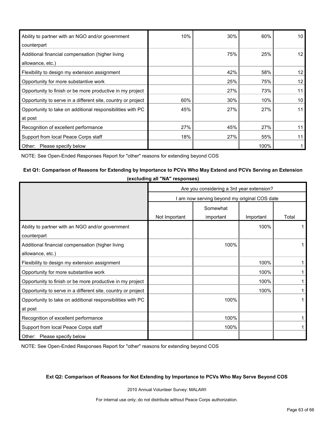| Ability to partner with an NGO and/or government             | 10% | 30% | 60%  | 10 <sup>1</sup>   |
|--------------------------------------------------------------|-----|-----|------|-------------------|
| counterpart                                                  |     |     |      |                   |
| Additional financial compensation (higher living             |     | 75% | 25%  | 12                |
| allowance, etc.)                                             |     |     |      |                   |
| Flexibility to design my extension assignment                |     | 42% | 58%  | $12 \overline{ }$ |
| Opportunity for more substantive work                        |     | 25% | 75%  | 12                |
| Opportunity to finish or be more productive in my project    |     | 27% | 73%  | 11                |
| Opportunity to serve in a different site, country or project | 60% | 30% | 10%  | 10                |
| Opportunity to take on additional responsibilities with PC   | 45% | 27% | 27%  | 11                |
| at post                                                      |     |     |      |                   |
| Recognition of excellent performance                         | 27% | 45% | 27%  | 11                |
| Support from local Peace Corps staff                         | 18% | 27% | 55%  | 11                |
| Other:<br>Please specify below                               |     |     | 100% |                   |

NOTE: See Open-Ended Responses Report for "other" reasons for extending beyond COS

#### **Ext Q1: Comparison of Reasons for Extending by Importance to PCVs Who May Extend and PCVs Serving an Extension**

|                                                              | Are you considering a 3rd year extension?    |           |           |       |  |
|--------------------------------------------------------------|----------------------------------------------|-----------|-----------|-------|--|
|                                                              | I am now serving beyond my original COS date |           |           |       |  |
|                                                              | Somewhat                                     |           |           |       |  |
|                                                              | Not Important                                | important | Important | Total |  |
| Ability to partner with an NGO and/or government             |                                              |           | 100%      |       |  |
| counterpart                                                  |                                              |           |           |       |  |
| Additional financial compensation (higher living             |                                              | 100%      |           |       |  |
| allowance, etc.)                                             |                                              |           |           |       |  |
| Flexibility to design my extension assignment                |                                              |           | 100%      |       |  |
| Opportunity for more substantive work                        |                                              |           | 100%      |       |  |
| Opportunity to finish or be more productive in my project    |                                              |           | 100%      |       |  |
| Opportunity to serve in a different site, country or project |                                              |           | 100%      |       |  |
| Opportunity to take on additional responsibilities with PC   |                                              | 100%      |           |       |  |
| at post                                                      |                                              |           |           |       |  |
| Recognition of excellent performance                         |                                              | 100%      |           |       |  |
| Support from local Peace Corps staff                         |                                              | 100%      |           |       |  |
| Other: Please specify below                                  |                                              |           |           |       |  |

NOTE: See Open-Ended Responses Report for "other" reasons for extending beyond COS

#### **Ext Q2: Comparison of Reasons for Not Extending by Importance to PCVs Who May Serve Beyond COS**

2010 Annual Volunteer Survey: MALAWI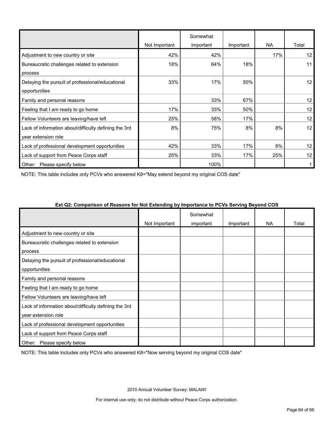|                                                       |               | Somewhat  |           | <b>NA</b> | Total           |
|-------------------------------------------------------|---------------|-----------|-----------|-----------|-----------------|
|                                                       | Not Important | important | Important |           |                 |
| Adjustment to new country or site                     | 42%           | 42%       |           | 17%       | 12              |
| Bureaucratic challenges related to extension          | 18%           | 64%       | 18%       |           | 11              |
| process                                               |               |           |           |           |                 |
| Delaying the pursuit of professional/educational      | 33%           | 17%       | 50%       |           | 12 <sup>2</sup> |
| opportunities                                         |               |           |           |           |                 |
| Family and personal reasons                           |               | 33%       | 67%       |           | 12              |
| Feeling that I am ready to go home                    | 17%           | 33%       | 50%       |           | 12              |
| Fellow Volunteers are leaving/have left               | 25%           | 58%       | 17%       |           | 12              |
| Lack of information about/difficulty defining the 3rd | 8%            | 75%       | 8%        | 8%        | 12              |
| year extension role                                   |               |           |           |           |                 |
| Lack of professional development opportunities        | 42%           | 33%       | 17%       | 8%        | 12              |
| Lack of support from Peace Corps staff                | 25%           | 33%       | 17%       | 25%       | 12              |
| Other:<br>Please specify below                        |               | 100%      |           |           |                 |

NOTE: This table includes only PCVs who answered K8="May extend beyond my original COS date"

|                                                       |               | Somewhat  |           |     |       |
|-------------------------------------------------------|---------------|-----------|-----------|-----|-------|
|                                                       | Not Important | important | Important | NA. | Total |
| Adjustment to new country or site                     |               |           |           |     |       |
| Bureaucratic challenges related to extension          |               |           |           |     |       |
| process                                               |               |           |           |     |       |
| Delaying the pursuit of professional/educational      |               |           |           |     |       |
| opportunities                                         |               |           |           |     |       |
| Family and personal reasons                           |               |           |           |     |       |
| Feeling that I am ready to go home                    |               |           |           |     |       |
| Fellow Volunteers are leaving/have left               |               |           |           |     |       |
| Lack of information about/difficulty defining the 3rd |               |           |           |     |       |
| year extension role                                   |               |           |           |     |       |
| Lack of professional development opportunities        |               |           |           |     |       |
| Lack of support from Peace Corps staff                |               |           |           |     |       |
| Other:<br>Please specify below                        |               |           |           |     |       |

NOTE: This table includes only PCVs who answered K8="Now serving beyond my original COS date"

2010 Annual Volunteer Survey: MALAWI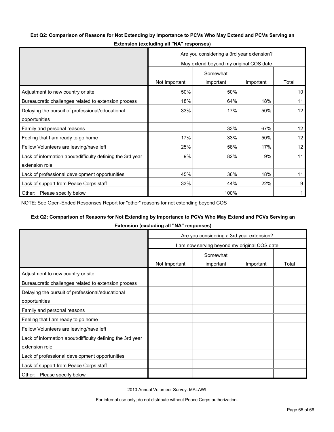#### **Ext Q2: Comparison of Reasons for Not Extending by Importance to PCVs Who May Extend and PCVs Serving an**

|                                                            | Are you considering a 3rd year extension? |           |           |       |  |  |
|------------------------------------------------------------|-------------------------------------------|-----------|-----------|-------|--|--|
|                                                            | May extend beyond my original COS date    |           |           |       |  |  |
|                                                            | Somewhat                                  |           |           |       |  |  |
|                                                            | Not Important                             | important | Important | Total |  |  |
| Adjustment to new country or site                          | 50%                                       | 50%       |           | 10    |  |  |
| Bureaucratic challenges related to extension process       | 18%                                       | 64%       | 18%       | 11    |  |  |
| Delaying the pursuit of professional/educational           | 33%                                       | 17%       | 50%       | 12    |  |  |
| opportunities                                              |                                           |           |           |       |  |  |
| Family and personal reasons                                |                                           | 33%       | 67%       | 12    |  |  |
| Feeling that I am ready to go home                         | 17%                                       | 33%       | 50%       | 12    |  |  |
| Fellow Volunteers are leaving/have left                    | 25%                                       | 58%       | 17%       | 12    |  |  |
| Lack of information about/difficulty defining the 3rd year | 9%                                        | 82%       | 9%        | 11    |  |  |
| extension role                                             |                                           |           |           |       |  |  |
| Lack of professional development opportunities             | 45%                                       | 36%       | 18%       | 11    |  |  |
| Lack of support from Peace Corps staff                     | 33%                                       | 44%       | 22%       | 9     |  |  |
| Other: Please specify below                                |                                           | 100%      |           |       |  |  |

**Extension (excluding all "NA" responses)**

NOTE: See Open-Ended Responses Report for "other" reasons for not extending beyond COS

#### **Ext Q2: Comparison of Reasons for Not Extending by Importance to PCVs Who May Extend and PCVs Serving an**

**Extension (excluding all "NA" responses)**

|                                                            | Are you considering a 3rd year extension?    |           |           |       |  |  |
|------------------------------------------------------------|----------------------------------------------|-----------|-----------|-------|--|--|
|                                                            | I am now serving beyond my original COS date |           |           |       |  |  |
|                                                            | Somewhat                                     |           |           |       |  |  |
|                                                            | Not Important                                | important | Important | Total |  |  |
| Adjustment to new country or site                          |                                              |           |           |       |  |  |
| Bureaucratic challenges related to extension process       |                                              |           |           |       |  |  |
| Delaying the pursuit of professional/educational           |                                              |           |           |       |  |  |
| opportunities                                              |                                              |           |           |       |  |  |
| Family and personal reasons                                |                                              |           |           |       |  |  |
| Feeling that I am ready to go home                         |                                              |           |           |       |  |  |
| Fellow Volunteers are leaving/have left                    |                                              |           |           |       |  |  |
| Lack of information about/difficulty defining the 3rd year |                                              |           |           |       |  |  |
| extension role                                             |                                              |           |           |       |  |  |
| Lack of professional development opportunities             |                                              |           |           |       |  |  |
| Lack of support from Peace Corps staff                     |                                              |           |           |       |  |  |
| Please specify below<br>Other:                             |                                              |           |           |       |  |  |